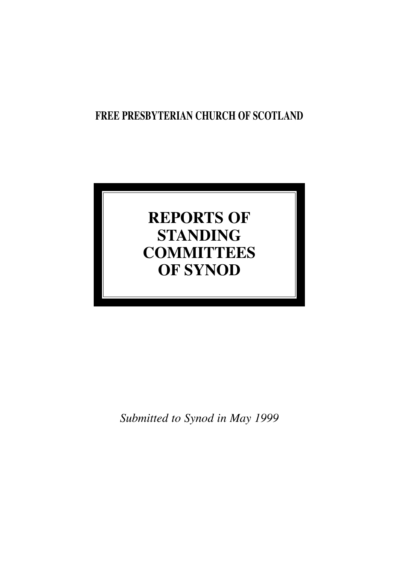## **FREE PRESBYTERIAN CHURCH OF SCOTLAND**

# **REPORTS OF STANDING COMMITTEES OF SYNOD**

*Submitted to Synod in May 1999*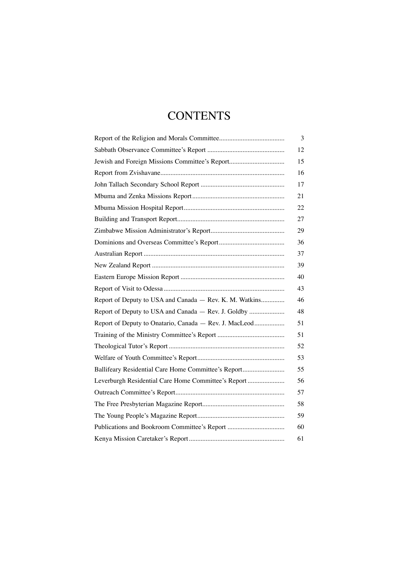## **CONTENTS**

|                                                         | 3  |
|---------------------------------------------------------|----|
|                                                         | 12 |
| Jewish and Foreign Missions Committee's Report          | 15 |
|                                                         | 16 |
|                                                         | 17 |
|                                                         | 21 |
|                                                         | 22 |
|                                                         | 27 |
|                                                         | 29 |
|                                                         | 36 |
|                                                         | 37 |
|                                                         | 39 |
|                                                         | 40 |
|                                                         | 43 |
| Report of Deputy to USA and Canada - Rev. K. M. Watkins | 46 |
| Report of Deputy to USA and Canada - Rev. J. Goldby     | 48 |
| Report of Deputy to Onatario, Canada - Rev. J. MacLeod  | 51 |
|                                                         | 51 |
|                                                         | 52 |
|                                                         | 53 |
| Ballifeary Residential Care Home Committee's Report     | 55 |
| Leverburgh Residential Care Home Committee's Report     | 56 |
|                                                         | 57 |
|                                                         | 58 |
|                                                         | 59 |
| Publications and Bookroom Committee's Report            | 60 |
|                                                         | 61 |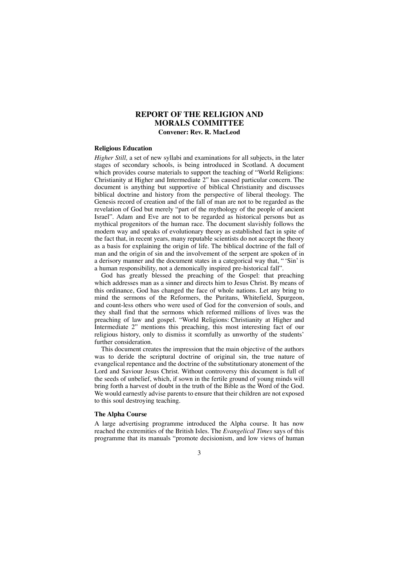## **REPORT OF THE RELIGION AND MORALS COMMITTEE Convener: Rev. R. MacLeod**

#### **Religious Education**

*Higher Still,* a set of new syllabi and examinations for all subjects, in the later stages of secondary schools, is being introduced in Scotland. A document which provides course materials to support the teaching of "World Religions: Christianity at Higher and Intermediate 2" has caused particular concern. The document is anything but supportive of biblical Christianity and discusses biblical doctrine and history from the perspective of liberal theology. The Genesis record of creation and of the fall of man are not to be regarded as the revelation of God but merely "part of the mythology of the people of ancient Israel". Adam and Eve are not to be regarded as historical persons but as mythical progenitors of the human race. The document slavishly follows the modern way and speaks of evolutionary theory as established fact in spite of the fact that, in recent years, many reputable scientists do not accept the theory as a basis for explaining the origin of life. The biblical doctrine of the fall of man and the origin of sin and the involvement of the serpent are spoken of in a derisory manner and the document states in a categorical way that, " 'Sin' is a human responsibility, not a demonically inspired pre-historical fall".

God has greatly blessed the preaching of the Gospel: that preaching which addresses man as a sinner and directs him to Jesus Christ. By means of this ordinance, God has changed the face of whole nations. Let any bring to mind the sermons of the Reformers, the Puritans, Whitefield, Spurgeon, and count-less others who were used of God for the conversion of souls, and they shall find that the sermons which reformed millions of lives was the preaching of law and gospel. "World Religions: Christianity at Higher and Intermediate 2" mentions this preaching, this most interesting fact of our religious history, only to dismiss it scornfully as unworthy of the students' further consideration.

This document creates the impression that the main objective of the authors was to deride the scriptural doctrine of original sin, the true nature of evangelical repentance and the doctrine of the substitutionary atonement of the Lord and Saviour Jesus Christ. Without controversy this document is full of the seeds of unbelief, which, if sown in the fertile ground of young minds will bring forth a harvest of doubt in the truth of the Bible as the Word of the God. We would earnestly advise parents to ensure that their children are not exposed to this soul destroying teaching*.*

#### **The Alpha Course**

A large advertising programme introduced the Alpha course. It has now reached the extremities of the British Isles. The *Evangelical Times* says of this programme that its manuals "promote decisionism, and low views of human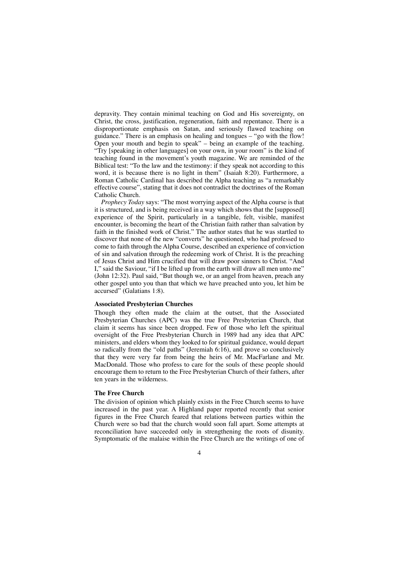depravity. They contain minimal teaching on God and His sovereignty, on Christ, the cross, justification, regeneration, faith and repentance. There is a disproportionate emphasis on Satan, and seriously flawed teaching on guidance." There is an emphasis on healing and tongues – "go with the flow! Open your mouth and begin to speak" – being an example of the teaching. "Try [speaking in other languages] on your own, in your room" is the kind of teaching found in the movement's youth magazine. We are reminded of the Biblical test: "To the law and the testimony: if they speak not according to this word, it is because there is no light in them" (Isaiah 8:20). Furthermore, a Roman Catholic Cardinal has described the Alpha teaching as "a remarkably effective course", stating that it does not contradict the doctrines of the Roman Catholic Church.

*Prophecy Today* says: "The most worrying aspect of the Alpha course is that it is structured, and is being received in a way which shows that the [supposed] experience of the Spirit, particularly in a tangible, felt, visible, manifest encounter, is becoming the heart of the Christian faith rather than salvation by faith in the finished work of Christ." The author states that he was startled to discover that none of the new "converts" he questioned, who had professed to come to faith through the Alpha Course, described an experience of conviction of sin and salvation through the redeeming work of Christ. It is the preaching of Jesus Christ and Him crucified that will draw poor sinners to Christ. "And I," said the Saviour, "if I be lifted up from the earth will draw all men unto me" (John 12:32). Paul said, "But though we, or an angel from heaven, preach any other gospel unto you than that which we have preached unto you, let him be accursed" (Galatians 1:8).

#### **Associated Presbyterian Churches**

Though they often made the claim at the outset, that the Associated Presbyterian Churches (APC) was the true Free Presbyterian Church, that claim it seems has since been dropped. Few of those who left the spiritual oversight of the Free Presbyterian Church in 1989 had any idea that APC ministers, and elders whom they looked to for spiritual guidance, would depart so radically from the "old paths" (Jeremiah 6:16), and prove so conclusively that they were very far from being the heirs of Mr. MacFarlane and Mr. MacDonald. Those who profess to care for the souls of these people should encourage them to return to the Free Presbyterian Church of their fathers, after ten years in the wilderness.

#### **The Free Church**

The division of opinion which plainly exists in the Free Church seems to have increased in the past year. A Highland paper reported recently that senior figures in the Free Church feared that relations between parties within the Church were so bad that the church would soon fall apart. Some attempts at reconciliation have succeeded only in strengthening the roots of disunity. Symptomatic of the malaise within the Free Church are the writings of one of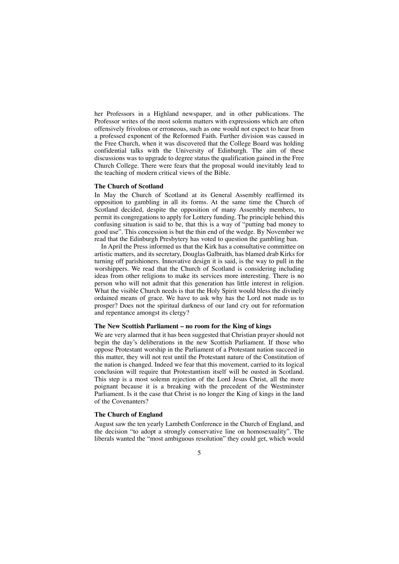her Professors in a Highland newspaper, and in other publications. The Professor writes of the most solemn matters with expressions which are often offensively frivolous or erroneous, such as one would not expect to hear from a professed exponent of the Reformed Faith. Further division was caused in the Free Church, when it was discovered that the College Board was holding confidential talks with the University of Edinburgh. The aim of these discussions was to upgrade to degree status the qualification gained in the Free Church College. There were fears that the proposal would inevitably lead to the teaching of modern critical views of the Bible.

#### **The Church of Scotland**

In May the Church of Scotland at its General Assembly reaffirmed its opposition to gambling in all its forms. At the same time the Church of Scotland decided, despite the opposition of many Assembly members, to permit its congregations to apply for Lottery funding. The principle behind this confusing situation is said to be, that this is a way of "putting bad money to good use". This concession is but the thin end of the wedge. By November we read that the Edinburgh Presbytery has voted to question the gambling ban.

In April the Press informed us that the Kirk has a consultative committee on artistic matters, and its secretary, Douglas Galbraith, has blamed drab Kirks for turning off parishioners. Innovative design it is said, is the way to pull in the worshippers. We read that the Church of Scotland is considering including ideas from other religions to make its services more interesting. There is no person who will not admit that this generation has little interest in religion. What the visible Church needs is that the Holy Spirit would bless the divinely ordained means of grace. We have to ask why has the Lord not made us to prosper? Does not the spiritual darkness of our land cry out for reformation and repentance amongst its clergy?

#### **The New Scottish Parliament – no room for the King of kings**

We are very alarmed that it has been suggested that Christian prayer should not begin the day's deliberations in the new Scottish Parliament. If those who oppose Protestant worship in the Parliament of a Protestant nation succeed in this matter, they will not rest until the Protestant nature of the Constitution of the nation is changed. Indeed we fear that this movement, carried to its logical conclusion will require that Protestantism itself will be ousted in Scotland. This step is a most solemn rejection of the Lord Jesus Christ, all the more poignant because it is a breaking with the precedent of the Westminster Parliament. Is it the case that Christ is no longer the King of kings in the land of the Covenanters?

#### **The Church of England**

August saw the ten yearly Lambeth Conference in the Church of England, and the decision "to adopt a strongly conservative line on homosexuality". The liberals wanted the "most ambiguous resolution" they could get, which would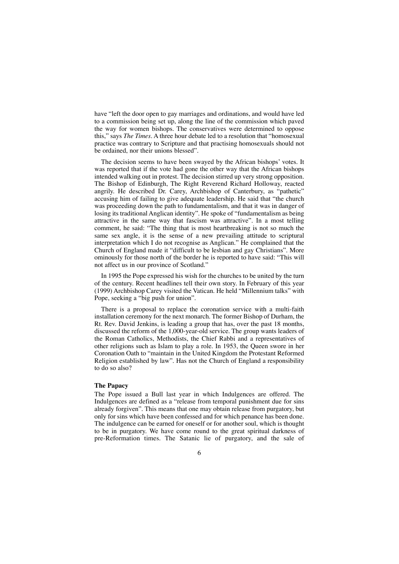have "left the door open to gay marriages and ordinations, and would have led to a commission being set up, along the line of the commission which paved the way for women bishops. The conservatives were determined to oppose this," says *The Times.* A three hour debate led to a resolution that "homosexual practice was contrary to Scripture and that practising homosexuals should not be ordained, nor their unions blessed".

The decision seems to have been swayed by the African bishops' votes. It was reported that if the vote had gone the other way that the African bishops intended walking out in protest. The decision stirred up very strong opposition. The Bishop of Edinburgh, The Right Reverend Richard Holloway, reacted angrily. He described Dr. Carey, Archbishop of Canterbury, as "pathetic" accusing him of failing to give adequate leadership. He said that "the church was proceeding down the path to fundamentalism, and that it was in danger of losing its traditional Anglican identity". He spoke of "fundamentalism as being attractive in the same way that fascism was attractive". In a most telling comment, he said: "The thing that is most heartbreaking is not so much the same sex angle, it is the sense of a new prevailing attitude to scriptural interpretation which I do not recognise as Anglican." He complained that the Church of England made it "difficult to be lesbian and gay Christians". More ominously for those north of the border he is reported to have said: "This will not affect us in our province of Scotland."

In 1995 the Pope expressed his wish for the churches to be united by the turn of the century. Recent headlines tell their own story. In February of this year (1999) Archbishop Carey visited the Vatican. He held "Millennium talks" with Pope, seeking a "big push for union".

There is a proposal to replace the coronation service with a multi-faith installation ceremony for the next monarch. The former Bishop of Durham, the Rt. Rev. David Jenkins, is leading a group that has, over the past 18 months, discussed the reform of the 1,000-year-old service. The group wants leaders of the Roman Catholics, Methodists, the Chief Rabbi and a representatives of other religions such as Islam to play a role. In 1953, the Queen swore in her Coronation Oath to "maintain in the United Kingdom the Protestant Reformed Religion established by law". Has not the Church of England a responsibility to do so also?

#### **The Papacy**

The Pope issued a Bull last year in which Indulgences are offered. The Indulgences are defined as a "release from temporal punishment due for sins already forgiven". This means that one may obtain release from purgatory, but only for sins which have been confessed and for which penance has been done. The indulgence can be earned for oneself or for another soul, which is thought to be in purgatory. We have come round to the great spiritual darkness of pre-Reformation times. The Satanic lie of purgatory, and the sale of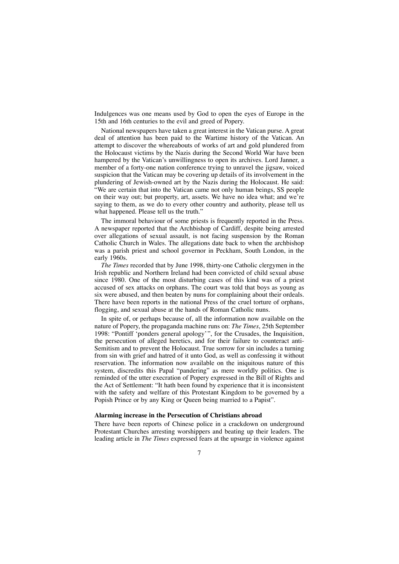Indulgences was one means used by God to open the eyes of Europe in the 15th and 16th centuries to the evil and greed of Popery.

National newspapers have taken a great interest in the Vatican purse. A great deal of attention has been paid to the Wartime history of the Vatican. An attempt to discover the whereabouts of works of art and gold plundered from the Holocaust victims by the Nazis during the Second World War have been hampered by the Vatican's unwillingness to open its archives. Lord Janner, a member of a forty-one nation conference trying to unravel the jigsaw, voiced suspicion that the Vatican may be covering up details of its involvement in the plundering of Jewish-owned art by the Nazis during the Holocaust. He said: "We are certain that into the Vatican came not only human beings, SS people on their way out; but property, art, assets. We have no idea what; and we're saying to them, as we do to every other country and authority, please tell us what happened. Please tell us the truth."

The immoral behaviour of some priests is frequently reported in the Press. A newspaper reported that the Archbishop of Cardiff, despite being arrested over allegations of sexual assault, is not facing suspension by the Roman Catholic Church in Wales. The allegations date back to when the archbishop was a parish priest and school governor in Peckham, South London, in the early 1960s.

*The Times* recorded that by June 1998, thirty-one Catholic clergymen in the Irish republic and Northern Ireland had been convicted of child sexual abuse since 1980. One of the most disturbing cases of this kind was of a priest accused of sex attacks on orphans. The court was told that boys as young as six were abused, and then beaten by nuns for complaining about their ordeals. There have been reports in the national Press of the cruel torture of orphans, flogging, and sexual abuse at the hands of Roman Catholic nuns.

In spite of, or perhaps because of, all the information now available on the nature of Popery, the propaganda machine runs on: *The Times*, 25th September 1998: "Pontiff 'ponders general apology'", for the Crusades, the Inquisition, the persecution of alleged heretics, and for their failure to counteract anti-Semitism and to prevent the Holocaust. True sorrow for sin includes a turning from sin with grief and hatred of it unto God, as well as confessing it without reservation. The information now available on the iniquitous nature of this system, discredits this Papal "pandering" as mere worldly politics. One is reminded of the utter execration of Popery expressed in the Bill of Rights and the Act of Settlement: "It hath been found by experience that it is inconsistent with the safety and welfare of this Protestant Kingdom to be governed by a Popish Prince or by any King or Queen being married to a Papist".

#### **Alarming increase in the Persecution of Christians abroad**

There have been reports of Chinese police in a crackdown on underground Protestant Churches arresting worshippers and beating up their leaders. The leading article in *The Times* expressed fears at the upsurge in violence against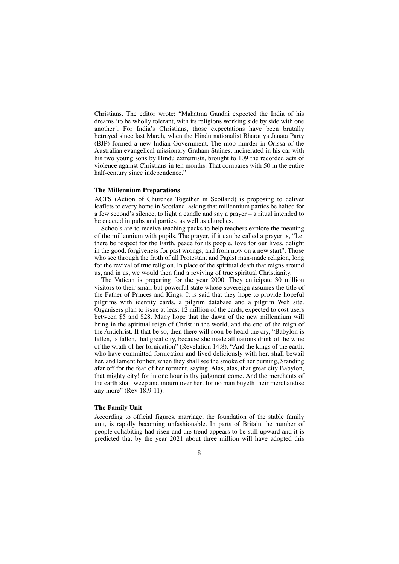Christians. The editor wrote: "Mahatma Gandhi expected the India of his dreams 'to be wholly tolerant, with its religions working side by side with one another'. For India's Christians, those expectations have been brutally betrayed since last March, when the Hindu nationalist Bharatiya Janata Party (BJP) formed a new Indian Government. The mob murder in Orissa of the Australian evangelical missionary Graham Staines, incinerated in his car with his two young sons by Hindu extremists, brought to 109 the recorded acts of violence against Christians in ten months. That compares with 50 in the entire half-century since independence."

#### **The Millennium Preparations**

ACTS (Action of Churches Together in Scotland) is proposing to deliver leaflets to every home in Scotland, asking that millennium parties be halted for a few second's silence, to light a candle and say a prayer – a ritual intended to be enacted in pubs and parties, as well as churches.

Schools are to receive teaching packs to help teachers explore the meaning of the millennium with pupils. The prayer, if it can be called a prayer is, "Let there be respect for the Earth, peace for its people, love for our lives, delight in the good, forgiveness for past wrongs, and from now on a new start". Those who see through the froth of all Protestant and Papist man-made religion, long for the revival of true religion. In place of the spiritual death that reigns around us, and in us, we would then find a reviving of true spiritual Christianity.

The Vatican is preparing for the year 2000. They anticipate 30 million visitors to their small but powerful state whose sovereign assumes the title of the Father of Princes and Kings. It is said that they hope to provide hopeful pilgrims with identity cards, a pilgrim database and a pilgrim Web site. Organisers plan to issue at least 12 million of the cards, expected to cost users between \$5 and \$28. Many hope that the dawn of the new millennium will bring in the spiritual reign of Christ in the world, and the end of the reign of the Antichrist. If that be so, then there will soon be heard the cry, "Babylon is fallen, is fallen, that great city, because she made all nations drink of the wine of the wrath of her fornication" (Revelation 14:8). "And the kings of the earth, who have committed fornication and lived deliciously with her, shall bewail her, and lament for her, when they shall see the smoke of her burning, Standing afar off for the fear of her torment, saying, Alas, alas, that great city Babylon, that mighty city! for in one hour is thy judgment come. And the merchants of the earth shall weep and mourn over her; for no man buyeth their merchandise any more" (Rev 18:9-11).

#### **The Family Unit**

According to official figures, marriage, the foundation of the stable family unit, is rapidly becoming unfashionable. In parts of Britain the number of people cohabiting had risen and the trend appears to be still upward and it is predicted that by the year 2021 about three million will have adopted this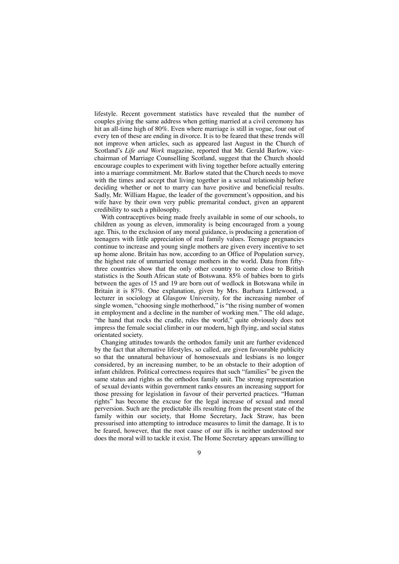lifestyle. Recent government statistics have revealed that the number of couples giving the same address when getting married at a civil ceremony has hit an all-time high of 80%. Even where marriage is still in vogue, four out of every ten of these are ending in divorce. It is to be feared that these trends will not improve when articles, such as appeared last August in the Church of Scotland's *Life and Work* magazine, reported that Mr. Gerald Barlow, vicechairman of Marriage Counselling Scotland, suggest that the Church should encourage couples to experiment with living together before actually entering into a marriage commitment. Mr. Barlow stated that the Church needs to move with the times and accept that living together in a sexual relationship before deciding whether or not to marry can have positive and beneficial results. Sadly, Mr. William Hague, the leader of the government's opposition, and his wife have by their own very public premarital conduct, given an apparent credibility to such a philosophy.

With contraceptives being made freely available in some of our schools, to children as young as eleven, immorality is being encouraged from a young age. This, to the exclusion of any moral guidance, is producing a generation of teenagers with little appreciation of real family values. Teenage pregnancies continue to increase and young single mothers are given every incentive to set up home alone. Britain has now, according to an Office of Population survey, the highest rate of unmarried teenage mothers in the world. Data from fiftythree countries show that the only other country to come close to British statistics is the South African state of Botswana. 85% of babies born to girls between the ages of 15 and 19 are born out of wedlock in Botswana while in Britain it is 87%. One explanation, given by Mrs. Barbara Littlewood, a lecturer in sociology at Glasgow University, for the increasing number of single women, "choosing single motherhood," is "the rising number of women in employment and a decline in the number of working men." The old adage, "the hand that rocks the cradle, rules the world," quite obviously does not impress the female social climber in our modern, high flying, and social status orientated society.

Changing attitudes towards the orthodox family unit are further evidenced by the fact that alternative lifestyles, so called, are given favourable publicity so that the unnatural behaviour of homosexuals and lesbians is no longer considered, by an increasing number, to be an obstacle to their adoption of infant children. Political correctness requires that such "families" be given the same status and rights as the orthodox family unit. The strong representation of sexual deviants within government ranks ensures an increasing support for those pressing for legislation in favour of their perverted practices. "Human rights" has become the excuse for the legal increase of sexual and moral perversion. Such are the predictable ills resulting from the present state of the family within our society, that Home Secretary, Jack Straw, has been pressurised into attempting to introduce measures to limit the damage. It is to be feared, however, that the root cause of our ills is neither understood nor does the moral will to tackle it exist. The Home Secretary appears unwilling to

 $\overline{Q}$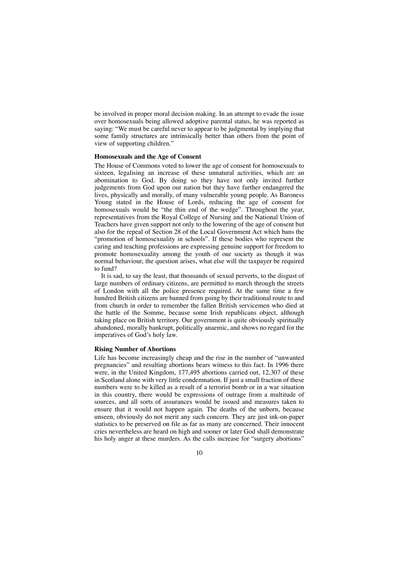be involved in proper moral decision making. In an attempt to evade the issue over homosexuals being allowed adoptive parental status, he was reported as saying: "We must be careful never to appear to be judgmental by implying that some family structures are intrinsically better than others from the point of view of supporting children."

#### **Homosexuals and the Age of Consent**

The House of Commons voted to lower the age of consent for homosexuals to sixteen, legalising an increase of these unnatural activities, which are an abomination to God. By doing so they have not only invited further judgements from God upon our nation but they have further endangered the lives, physically and morally, of many vulnerable young people. As Baroness Young stated in the House of Lords, reducing the age of consent for homosexuals would be "the thin end of the wedge". Throughout the year, representatives from the Royal College of Nursing and the National Union of Teachers have given support not only to the lowering of the age of consent but also for the repeal of Section 28 of the Local Government Act which bans the "promotion of homosexuality in schools". If these bodies who represent the caring and teaching professions are expressing genuine support for freedom to promote homosexuality among the youth of our society as though it was normal behaviour, the question arises, what else will the taxpayer be required to fund?

It is sad, to say the least, that thousands of sexual perverts, to the disgust of large numbers of ordinary citizens, are permitted to march through the streets of London with all the police presence required. At the same time a few hundred British citizens are banned from going by their traditional route to and from church in order to remember the fallen British servicemen who died at the battle of the Somme, because some Irish republicans object, although taking place on British territory. Our government is quite obviously spiritually abandoned, morally bankrupt, politically anaemic, and shows no regard for the imperatives of God's holy law.

#### **Rising Number of Abortions**

Life has become increasingly cheap and the rise in the number of "unwanted pregnancies" and resulting abortions bears witness to this fact. In 1996 there were, in the United Kingdom, 177,495 abortions carried out, 12,307 of these in Scotland alone with very little condemnation. If just a small fraction of these numbers were to be killed as a result of a terrorist bomb or in a war situation in this country, there would be expressions of outrage from a multitude of sources, and all sorts of assurances would be issued and measures taken to ensure that it would not happen again. The deaths of the unborn, because unseen, obviously do not merit any such concern. They are just ink-on-paper statistics to be preserved on file as far as many are concerned. Their innocent cries nevertheless are heard on high and sooner or later God shall demonstrate his holy anger at these murders. As the calls increase for "surgery abortions"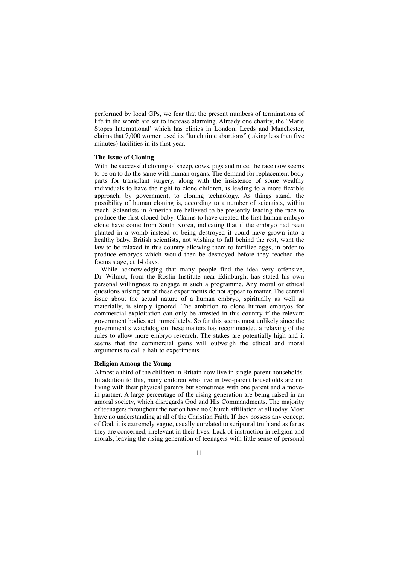performed by local GPs, we fear that the present numbers of terminations of life in the womb are set to increase alarming. Already one charity, the 'Marie Stopes International' which has clinics in London, Leeds and Manchester, claims that 7,000 women used its "lunch time abortions" (taking less than five minutes) facilities in its first year.

#### **The Issue of Cloning**

With the successful cloning of sheep, cows, pigs and mice, the race now seems to be on to do the same with human organs. The demand for replacement body parts for transplant surgery, along with the insistence of some wealthy individuals to have the right to clone children, is leading to a more flexible approach, by government, to cloning technology. As things stand, the possibility of human cloning is, according to a number of scientists, within reach. Scientists in America are believed to be presently leading the race to produce the first cloned baby. Claims to have created the first human embryo clone have come from South Korea, indicating that if the embryo had been planted in a womb instead of being destroyed it could have grown into a healthy baby. British scientists, not wishing to fall behind the rest, want the law to be relaxed in this country allowing them to fertilize eggs, in order to produce embryos which would then be destroyed before they reached the foetus stage, at 14 days.

While acknowledging that many people find the idea very offensive, Dr. Wilmut, from the Roslin Institute near Edinburgh, has stated his own personal willingness to engage in such a programme. Any moral or ethical questions arising out of these experiments do not appear to matter. The central issue about the actual nature of a human embryo, spiritually as well as materially, is simply ignored. The ambition to clone human embryos for commercial exploitation can only be arrested in this country if the relevant government bodies act immediately. So far this seems most unlikely since the government's watchdog on these matters has recommended a relaxing of the rules to allow more embryo research. The stakes are potentially high and it seems that the commercial gains will outweigh the ethical and moral arguments to call a halt to experiments.

#### **Religion Among the Young**

Almost a third of the children in Britain now live in single-parent households. In addition to this, many children who live in two-parent households are not living with their physical parents but sometimes with one parent and a movein partner. A large percentage of the rising generation are being raised in an amoral society, which disregards God and His Commandments. The majority of teenagers throughout the nation have no Church affiliation at all today. Most have no understanding at all of the Christian Faith. If they possess any concept of God, it is extremely vague, usually unrelated to scriptural truth and as far as they are concerned, irrelevant in their lives. Lack of instruction in religion and morals, leaving the rising generation of teenagers with little sense of personal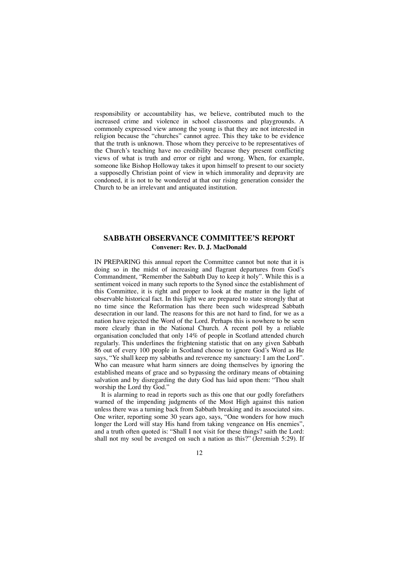responsibility or accountability has, we believe, contributed much to the increased crime and violence in school classrooms and playgrounds. A commonly expressed view among the young is that they are not interested in religion because the "churches" cannot agree. This they take to be evidence that the truth is unknown. Those whom they perceive to be representatives of the Church's teaching have no credibility because they present conflicting views of what is truth and error or right and wrong. When, for example, someone like Bishop Holloway takes it upon himself to present to our society a supposedly Christian point of view in which immorality and depravity are condoned, it is not to be wondered at that our rising generation consider the Church to be an irrelevant and antiquated institution.

## **SABBATH OBSERVANCE COMMITTEE'S REPORT Convener: Rev. D. J. MacDonald**

IN PREPARING this annual report the Committee cannot but note that it is doing so in the midst of increasing and flagrant departures from God's Commandment, "Remember the Sabbath Day to keep it holy". While this is a sentiment voiced in many such reports to the Synod since the establishment of this Committee, it is right and proper to look at the matter in the light of observable historical fact. In this light we are prepared to state strongly that at no time since the Reformation has there been such widespread Sabbath desecration in our land. The reasons for this are not hard to find, for we as a nation have rejected the Word of the Lord. Perhaps this is nowhere to be seen more clearly than in the National Church. A recent poll by a reliable organisation concluded that only 14% of people in Scotland attended church regularly. This underlines the frightening statistic that on any given Sabbath 86 out of every 100 people in Scotland choose to ignore God's Word as He says, "Ye shall keep my sabbaths and reverence my sanctuary: I am the Lord". Who can measure what harm sinners are doing themselves by ignoring the established means of grace and so bypassing the ordinary means of obtaining salvation and by disregarding the duty God has laid upon them: "Thou shalt worship the Lord thy God."

It is alarming to read in reports such as this one that our godly forefathers warned of the impending judgments of the Most High against this nation unless there was a turning back from Sabbath breaking and its associated sins. One writer, reporting some 30 years ago, says, "One wonders for how much longer the Lord will stay His hand from taking vengeance on His enemies", and a truth often quoted is: "Shall I not visit for these things? saith the Lord: shall not my soul be avenged on such a nation as this?" (Jeremiah 5:29). If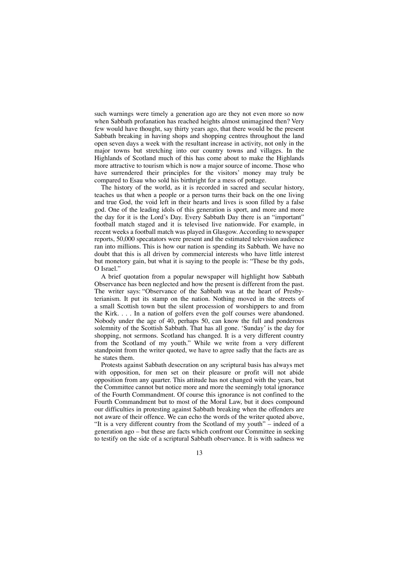such warnings were timely a generation ago are they not even more so now when Sabbath profanation has reached heights almost unimagined then? Very few would have thought, say thirty years ago, that there would be the present Sabbath breaking in having shops and shopping centres throughout the land open seven days a week with the resultant increase in activity, not only in the major towns but stretching into our country towns and villages. In the Highlands of Scotland much of this has come about to make the Highlands more attractive to tourism which is now a major source of income. Those who have surrendered their principles for the visitors' money may truly be compared to Esau who sold his birthright for a mess of pottage.

The history of the world, as it is recorded in sacred and secular history, teaches us that when a people or a person turns their back on the one living and true God, the void left in their hearts and lives is soon filled by a false god. One of the leading idols of this generation is sport, and more and more the day for it is the Lord's Day. Every Sabbath Day there is an "important" football match staged and it is televised live nationwide. For example, in recent weeks a football match was played in Glasgow. According to newspaper reports, 50,000 specatators were present and the estimated television audience ran into millions. This is how our nation is spending its Sabbath. We have no doubt that this is all driven by commercial interests who have little interest but monetory gain, but what it is saying to the people is: "These be thy gods, O Israel."

A brief quotation from a popular newspaper will highlight how Sabbath Observance has been neglected and how the present is different from the past. The writer says: "Observance of the Sabbath was at the heart of Presbyterianism. It put its stamp on the nation. Nothing moved in the streets of a small Scottish town but the silent procession of worshippers to and from the Kirk. . . . In a nation of golfers even the golf courses were abandoned. Nobody under the age of 40, perhaps 50, can know the full and ponderous solemnity of the Scottish Sabbath. That has all gone. 'Sunday' is the day for shopping, not sermons. Scotland has changed. It is a very different country from the Scotland of my youth." While we write from a very different standpoint from the writer quoted, we have to agree sadly that the facts are as he states them.

Protests against Sabbath desecration on any scriptural basis has always met with opposition, for men set on their pleasure or profit will not abide opposition from any quarter. This attitude has not changed with the years, but the Committee cannot but notice more and more the seemingly total ignorance of the Fourth Commandment. Of course this ignorance is not confined to the Fourth Commandment but to most of the Moral Law, but it does compound our difficulties in protesting against Sabbath breaking when the offenders are not aware of their offence. We can echo the words of the writer quoted above, "It is a very different country from the Scotland of my youth" – indeed of a generation ago – but these are facts which confront our Committee in seeking to testify on the side of a scriptural Sabbath observance. It is with sadness we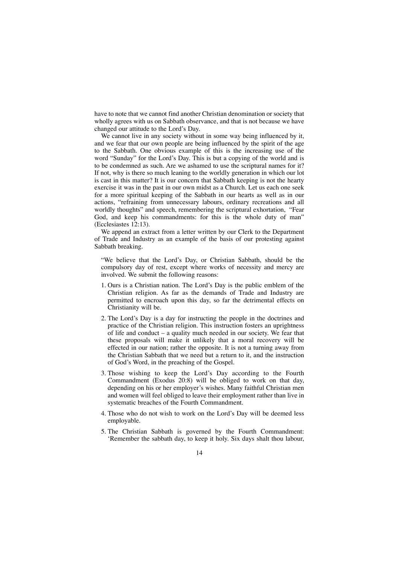have to note that we cannot find another Christian denomination or society that wholly agrees with us on Sabbath observance, and that is not because we have changed our attitude to the Lord's Day.

We cannot live in any society without in some way being influenced by it, and we fear that our own people are being influenced by the spirit of the age to the Sabbath. One obvious example of this is the increasing use of the word "Sunday" for the Lord's Day. This is but a copying of the world and is to be condemned as such. Are we ashamed to use the scriptural names for it? If not, why is there so much leaning to the worldly generation in which our lot is cast in this matter? It is our concern that Sabbath keeping is not the hearty exercise it was in the past in our own midst as a Church. Let us each one seek for a more spiritual keeping of the Sabbath in our hearts as well as in our actions, "refraining from unnecessary labours, ordinary recreations and all worldly thoughts" and speech, remembering the scriptural exhortation, "Fear God, and keep his commandments: for this is the whole duty of man" (Ecclesiastes 12:13).

We append an extract from a letter written by our Clerk to the Department of Trade and Industry as an example of the basis of our protesting against Sabbath breaking.

"We believe that the Lord's Day, or Christian Sabbath, should be the compulsory day of rest, except where works of necessity and mercy are involved. We submit the following reasons:

- 1. Ours is a Christian nation. The Lord's Day is the public emblem of the Christian religion. As far as the demands of Trade and Industry are permitted to encroach upon this day, so far the detrimental effects on Christianity will be.
- 2. The Lord's Day is a day for instructing the people in the doctrines and practice of the Christian religion. This instruction fosters an uprightness of life and conduct – a quality much needed in our society. We fear that these proposals will make it unlikely that a moral recovery will be effected in our nation; rather the opposite. It is not a turning away from the Christian Sabbath that we need but a return to it, and the instruction of God's Word, in the preaching of the Gospel.
- 3. Those wishing to keep the Lord's Day according to the Fourth Commandment (Exodus 20:8) will be obliged to work on that day, depending on his or her employer's wishes. Many faithful Christian men and women will feel obliged to leave their employment rather than live in systematic breaches of the Fourth Commandment.
- 4. Those who do not wish to work on the Lord's Day will be deemed less employable.
- 5. The Christian Sabbath is governed by the Fourth Commandment: 'Remember the sabbath day, to keep it holy. Six days shalt thou labour,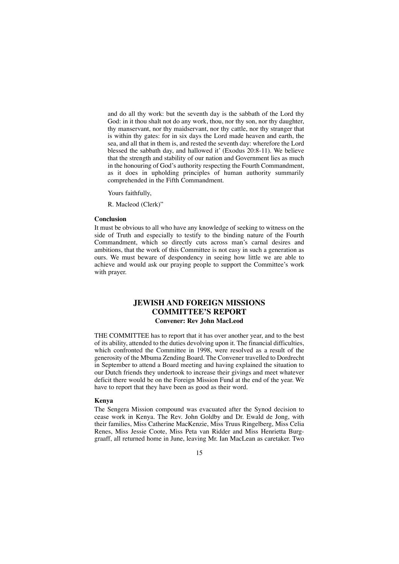and do all thy work: but the seventh day is the sabbath of the Lord thy God: in it thou shalt not do any work, thou, nor thy son, nor thy daughter, thy manservant, nor thy maidservant, nor thy cattle, nor thy stranger that is within thy gates: for in six days the Lord made heaven and earth, the sea, and all that in them is, and rested the seventh day: wherefore the Lord blessed the sabbath day, and hallowed it' (Exodus 20:8-11). We believe that the strength and stability of our nation and Government lies as much in the honouring of God's authority respecting the Fourth Commandment, as it does in upholding principles of human authority summarily comprehended in the Fifth Commandment.

Yours faithfully,

R. Macleod (Clerk)"

#### **Conclusion**

It must be obvious to all who have any knowledge of seeking to witness on the side of Truth and especially to testify to the binding nature of the Fourth Commandment, which so directly cuts across man's carnal desires and ambitions, that the work of this Committee is not easy in such a generation as ours. We must beware of despondency in seeing how little we are able to achieve and would ask our praying people to support the Committee's work with prayer.

## **JEWISH AND FOREIGN MISSIONS COMMITTEE'S REPORT Convener: Rev John MacLeod**

THE COMMITTEE has to report that it has over another year, and to the best of its ability, attended to the duties devolving upon it. The financial difficulties, which confronted the Committee in 1998, were resolved as a result of the generosity of the Mbuma Zending Board. The Convener travelled to Dordrecht in September to attend a Board meeting and having explained the situation to our Dutch friends they undertook to increase their givings and meet whatever deficit there would be on the Foreign Mission Fund at the end of the year. We have to report that they have been as good as their word.

#### **Kenya**

The Sengera Mission compound was evacuated after the Synod decision to cease work in Kenya. The Rev. John Goldby and Dr. Ewald de Jong, with their families, Miss Catherine MacKenzie, Miss Truus Ringelberg, Miss Celia Renes, Miss Jessie Coote, Miss Peta van Ridder and Miss Henrietta Burggraaff, all returned home in June, leaving Mr. Ian MacLean as caretaker. Two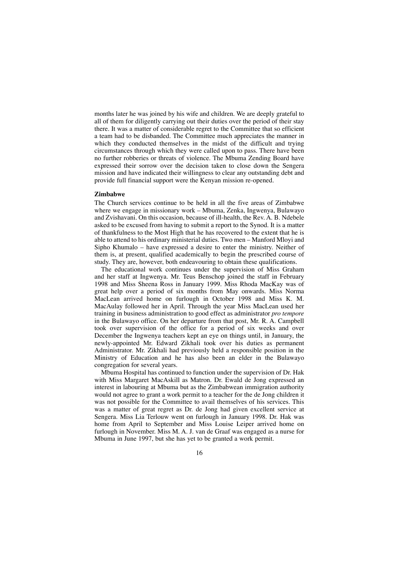months later he was joined by his wife and children. We are deeply grateful to all of them for diligently carrying out their duties over the period of their stay there. It was a matter of considerable regret to the Committee that so efficient a team had to be disbanded. The Committee much appreciates the manner in which they conducted themselves in the midst of the difficult and trying circumstances through which they were called upon to pass. There have been no further robberies or threats of violence. The Mbuma Zending Board have expressed their sorrow over the decision taken to close down the Sengera mission and have indicated their willingness to clear any outstanding debt and provide full financial support were the Kenyan mission re-opened.

#### **Zimbabwe**

The Church services continue to be held in all the five areas of Zimbabwe where we engage in missionary work – Mbuma, Zenka, Ingwenya, Bulawayo and Zvishavani. On this occasion, because of ill-health, the Rev. A. B. Ndebele asked to be excused from having to submit a report to the Synod. It is a matter of thankfulness to the Most High that he has recovered to the extent that he is able to attend to his ordinary ministerial duties. Two men – Manford Mloyi and Sipho Khumalo – have expressed a desire to enter the ministry. Neither of them is, at present, qualified academically to begin the prescribed course of study. They are, however, both endeavouring to obtain these qualifications.

The educational work continues under the supervision of Miss Graham and her staff at Ingwenya. Mr. Teus Benschop joined the staff in February 1998 and Miss Sheena Ross in January 1999. Miss Rhoda MacKay was of great help over a period of six months from May onwards. Miss Norma MacLean arrived home on furlough in October 1998 and Miss K. M. MacAulay followed her in April. Through the year Miss MacLean used her training in business administration to good effect as administrator *pro tempore* in the Bulawayo office. On her departure from that post, Mr. R. A. Campbell took over supervision of the office for a period of six weeks and over December the Ingwenya teachers kept an eye on things until, in January, the newly-appointed Mr. Edward Zikhali took over his duties as permanent Administrator. Mr. Zikhali had previously held a responsible position in the Ministry of Education and he has also been an elder in the Bulawayo congregation for several years.

Mbuma Hospital has continued to function under the supervision of Dr. Hak with Miss Margaret MacAskill as Matron. Dr. Ewald de Jong expressed an interest in labouring at Mbuma but as the Zimbabwean immigration authority would not agree to grant a work permit to a teacher for the de Jong children it was not possible for the Committee to avail themselves of his services. This was a matter of great regret as Dr. de Jong had given excellent service at Sengera. Miss Lia Terlouw went on furlough in January 1998. Dr. Hak was home from April to September and Miss Louise Leiper arrived home on furlough in November. Miss M. A. J. van de Graaf was engaged as a nurse for Mbuma in June 1997, but she has yet to be granted a work permit.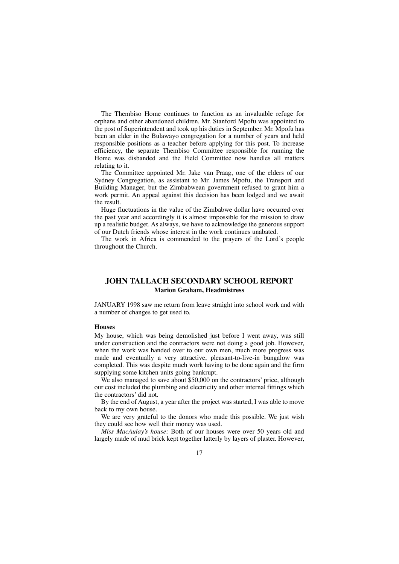The Thembiso Home continues to function as an invaluable refuge for orphans and other abandoned children. Mr. Stanford Mpofu was appointed to the post of Superintendent and took up his duties in September. Mr. Mpofu has been an elder in the Bulawayo congregation for a number of years and held responsible positions as a teacher before applying for this post. To increase efficiency, the separate Thembiso Committee responsible for running the Home was disbanded and the Field Committee now handles all matters relating to it.

The Committee appointed Mr. Jake van Praag, one of the elders of our Sydney Congregation, as assistant to Mr. James Mpofu, the Transport and Building Manager, but the Zimbabwean government refused to grant him a work permit. An appeal against this decision has been lodged and we await the result.

Huge fluctuations in the value of the Zimbabwe dollar have occurred over the past year and accordingly it is almost impossible for the mission to draw up a realistic budget. As always, we have to acknowledge the generous support of our Dutch friends whose interest in the work continues unabated.

The work in Africa is commended to the prayers of the Lord's people throughout the Church.

## **JOHN TALLACH SECONDARY SCHOOL REPORT Marion Graham, Headmistress**

JANUARY 1998 saw me return from leave straight into school work and with a number of changes to get used to.

#### **Houses**

My house, which was being demolished just before I went away, was still under construction and the contractors were not doing a good job. However, when the work was handed over to our own men, much more progress was made and eventually a very attractive, pleasant-to-live-in bungalow was completed. This was despite much work having to be done again and the firm supplying some kitchen units going bankrupt.

We also managed to save about \$50,000 on the contractors' price, although our cost included the plumbing and electricity and other internal fittings which the contractors' did not.

By the end of August, a year after the project was started, I was able to move back to my own house.

We are very grateful to the donors who made this possible. We just wish they could see how well their money was used.

*Miss MacAulay's house:* Both of our houses were over 50 years old and largely made of mud brick kept together latterly by layers of plaster. However,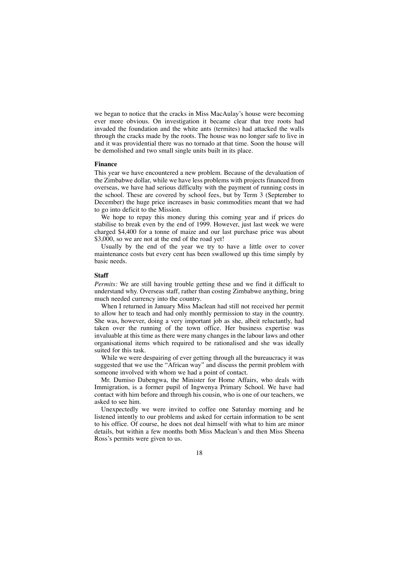we began to notice that the cracks in Miss MacAulay's house were becoming ever more obvious. On investigation it became clear that tree roots had invaded the foundation and the white ants (termites) had attacked the walls through the cracks made by the roots. The house was no longer safe to live in and it was providential there was no tornado at that time. Soon the house will be demolished and two small single units built in its place.

#### **Finance**

This year we have encountered a new problem. Because of the devaluation of the Zimbabwe dollar, while we have less problems with projects financed from overseas, we have had serious difficulty with the payment of running costs in the school. These are covered by school fees, but by Term 3 (September to December) the huge price increases in basic commodities meant that we had to go into deficit to the Mission.

We hope to repay this money during this coming year and if prices do stabilise to break even by the end of 1999. However, just last week we were charged \$4,400 for a tonne of maize and our last purchase price was about \$3,000, so we are not at the end of the road yet!

Usually by the end of the year we try to have a little over to cover maintenance costs but every cent has been swallowed up this time simply by basic needs.

#### **Staff**

*Permits:* We are still having trouble getting these and we find it difficult to understand why. Overseas staff, rather than costing Zimbabwe anything, bring much needed currency into the country.

When I returned in January Miss Maclean had still not received her permit to allow her to teach and had only monthly permission to stay in the country. She was, however, doing a very important job as she, albeit reluctantly, had taken over the running of the town office. Her business expertise was invaluable at this time as there were many changes in the labour laws and other organisational items which required to be rationalised and she was ideally suited for this task.

While we were despairing of ever getting through all the bureaucracy it was suggested that we use the "African way" and discuss the permit problem with someone involved with whom we had a point of contact.

Mr. Dumiso Dabengwa, the Minister for Home Affairs, who deals with Immigration, is a former pupil of Ingwenya Primary School. We have had contact with him before and through his cousin, who is one of our teachers, we asked to see him.

Unexpectedly we were invited to coffee one Saturday morning and he listened intently to our problems and asked for certain information to be sent to his office. Of course, he does not deal himself with what to him are minor details, but within a few months both Miss Maclean's and then Miss Sheena Ross's permits were given to us.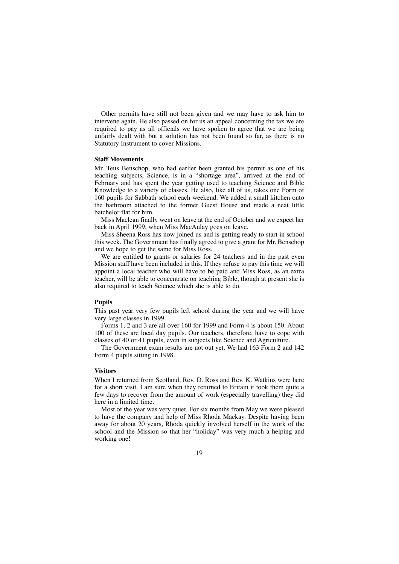Other permits have still not been given and we may have to ask him to intervene again. He also passed on for us an appeal concerning the tax we are required to pay as all officials we have spoken to agree that we are being unfairly dealt with but a solution has not been found so far, as there is no Statutory Instrument to cover Missions.

#### **Staff Movements**

Mr. Teus Benschop, who had earlier been granted his permit as one of his teaching subjects, Science, is in a "shortage area", arrived at the end of February and has spent the year getting used to teaching Science and Bible Knowledge to a variety of classes. He also, like all of us, takes one Form of 160 pupils for Sabbath school each weekend. We added a small kitchen onto the bathroom attached to the former Guest House and made a neat little batchelor flat for him.

Miss Maclean finally went on leave at the end of October and we expect her back in April 1999, when Miss MacAulay goes on leave.

Miss Sheena Ross has now joined us and is getting ready to start in school this week. The Government has finally agreed to give a grant for Mr. Benschop and we hope to get the same for Miss Ross.

We are entitled to grants or salaries for 24 teachers and in the past even Mission staff have been included in this. If they refuse to pay this time we will appoint a local teacher who will have to be paid and Miss Ross, as an extra teacher, will be able to concentrate on teaching Bible, though at present she is also required to teach Science which she is able to do.

#### **Pupils**

This past year very few pupils left school during the year and we will have very large classes in 1999.

Forms 1, 2 and 3 are all over 160 for 1999 and Form 4 is about 150. About 100 of these are local day pupils. Our teachers, therefore, have to cope with classes of 40 or 41 pupils, even in subjects like Science and Agriculture.

The Government exam results are not out yet. We had 163 Form 2 and 142 Form 4 pupils sitting in 1998.

#### **Visitors**

When I returned from Scotland, Rev. D. Ross and Rev. K. Watkins were here for a short visit. I am sure when they returned to Britain it took them quite a few days to recover from the amount of work (especially travelling) they did here in a limited time.

Most of the year was very quiet. For six months from May we were pleased to have the company and help of Miss Rhoda Mackay. Despite having been away for about 20 years, Rhoda quickly involved herself in the work of the school and the Mission so that her "holiday" was very much a helping and working one!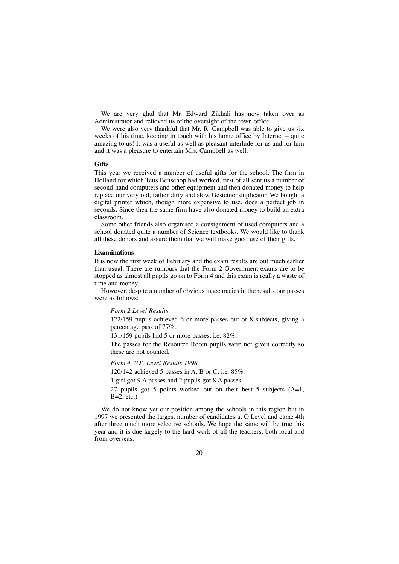We are very glad that Mr. Edward Zikhali has now taken over as Administrator and relieved us of the oversight of the town office.

We were also very thankful that Mr. R. Campbell was able to give us six weeks of his time, keeping in touch with his home office by Internet – quite amazing to us! It was a useful as well as pleasant interlude for us and for him and it was a pleasure to entertain Mrs. Campbell as well.

#### **Gifts**

This year we received a number of useful gifts for the school. The firm in Holland for which Teus Benschop had worked, first of all sent us a number of second-hand computers and other equipment and then donated money to help replace our very old, rather dirty and slow Gestetner duplicator. We bought a digital printer which, though more expensive to use, does a perfect job in seconds. Since then the same firm have also donated money to build an extra classroom.

Some other friends also organised a consignment of used computers and a school donated quite a number of Science textbooks. We would like to thank all these donors and assure them that we will make good use of their gifts.

#### **Examinations**

It is now the first week of February and the exam results are out much earlier than usual. There are rumours that the Form 2 Government exams are to be stopped as almost all pupils go on to Form 4 and this exam is really a waste of time and money.

However, despite a number of obvious inaccuracies in the results our passes were as follows:

#### *Form 2 Level Results*

122/159 pupils achieved 6 or more passes out of 8 subjects, giving a percentage pass of 77%.

131/159 pupils had 5 or more passes, i.e. 82%.

The passes for the Resource Room pupils were not given correctly so these are not counted.

*Form 4 "O" Level Results 1998*

120/142 achieved 5 passes in A, B or C, i.e. 85%.

1 girl got 9 A passes and 2 pupils got 8 A passes.

27 pupils got 5 points worked out on their best 5 subjects  $(A=1,$  $B=2$ , etc.)

We do not know yet our position among the schools in this region but in 1997 we presented the largest number of candidates at O Level and came 4th after three much more selective schools. We hope the same will be true this year and it is due largely to the hard work of all the teachers, both local and from overseas.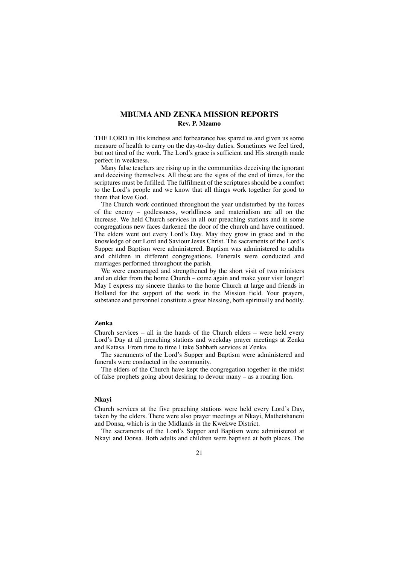## **MBUMA AND ZENKA MISSION REPORTS Rev. P. Mzamo**

THE LORD in His kindness and forbearance has spared us and given us some measure of health to carry on the day-to-day duties. Sometimes we feel tired, but not tired of the work. The Lord's grace is sufficient and His strength made perfect in weakness.

Many false teachers are rising up in the communities deceiving the ignorant and deceiving themselves. All these are the signs of the end of times, for the scriptures must be fufilled. The fulfilment of the scriptures should be a comfort to the Lord's people and we know that all things work together for good to them that love God.

The Church work continued throughout the year undisturbed by the forces of the enemy – godlessness, worldliness and materialism are all on the increase. We held Church services in all our preaching stations and in some congregations new faces darkened the door of the church and have continued. The elders went out every Lord's Day. May they grow in grace and in the knowledge of our Lord and Saviour Jesus Christ. The sacraments of the Lord's Supper and Baptism were administered. Baptism was administered to adults and children in different congregations. Funerals were conducted and marriages performed throughout the parish.

We were encouraged and strengthened by the short visit of two ministers and an elder from the home Church – come again and make your visit longer! May I express my sincere thanks to the home Church at large and friends in Holland for the support of the work in the Mission field. Your prayers, substance and personnel constitute a great blessing, both spiritually and bodily.

#### **Zenka**

Church services – all in the hands of the Church elders – were held every Lord's Day at all preaching stations and weekday prayer meetings at Zenka and Katasa. From time to time I take Sabbath services at Zenka.

The sacraments of the Lord's Supper and Baptism were administered and funerals were conducted in the community.

The elders of the Church have kept the congregation together in the midst of false prophets going about desiring to devour many – as a roaring lion.

#### **Nkayi**

Church services at the five preaching stations were held every Lord's Day, taken by the elders. There were also prayer meetings at Nkayi, Mathetshaneni and Donsa, which is in the Midlands in the Kwekwe District.

The sacraments of the Lord's Supper and Baptism were administered at Nkayi and Donsa. Both adults and children were baptised at both places. The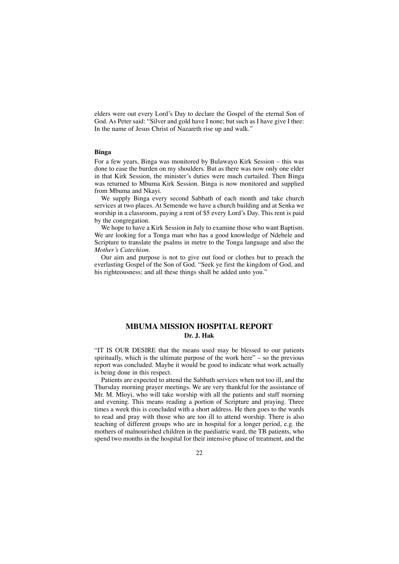elders were out every Lord's Day to declare the Gospel of the eternal Son of God. As Peter said: "Silver and gold have I none; but such as I have give I thee: In the name of Jesus Christ of Nazareth rise up and walk."

#### **Binga**

For a few years, Binga was monitored by Bulawayo Kirk Session – this was done to ease the burden on my shoulders. But as there was now only one elder in that Kirk Session, the minister's duties were much curtailed. Then Binga was returned to Mbuma Kirk Session. Binga is now monitored and supplied from Mbuma and Nkayi.

We supply Binga every second Sabbath of each month and take church services at two places. At Semende we have a church building and at Senka we worship in a classroom, paying a rent of \$5 every Lord's Day. This rent is paid by the congregation.

We hope to have a Kirk Session in July to examine those who want Baptism. We are looking for a Tonga man who has a good knowledge of Ndebele and Scripture to translate the psalms in metre to the Tonga language and also the *Mother's Catechism.*

Our aim and purpose is not to give out food or clothes but to preach the everlasting Gospel of the Son of God. "Seek ye first the kingdom of God, and his righteousness; and all these things shall be added unto you."

## **MBUMA MISSION HOSPITAL REPORT Dr. J. Hak**

"IT IS OUR DESIRE that the means used may be blessed to our patients spiritually, which is the ultimate purpose of the work here" – so the previous report was concluded. Maybe it would be good to indicate what work actually is being done in this respect.

Patients are expected to attend the Sabbath services when not too ill, and the Thursday morning prayer meetings. We are very thankful for the assistance of Mr. M. Mloyi, who will take worship with all the patients and staff morning and evening. This means reading a portion of Scripture and praying. Three times a week this is concluded with a short address. He then goes to the wards to read and pray with those who are too ill to attend worship. There is also teaching of different groups who are in hospital for a longer period, e.g. the mothers of malnourished children in the paediatric ward, the TB patients, who spend two months in the hospital for their intensive phase of treatment, and the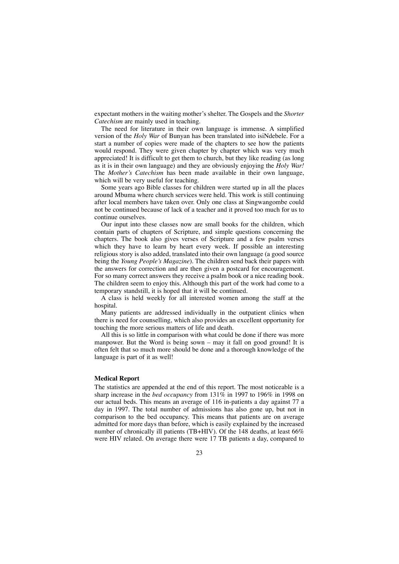expectant mothers in the waiting mother's shelter. The Gospels and the *Shorter Catechism* are mainly used in teaching.

The need for literature in their own language is immense. A simplified version of the *Holy War* of Bunyan has been translated into isiNdebele. For a start a number of copies were made of the chapters to see how the patients would respond. They were given chapter by chapter which was very much appreciated! It is difficult to get them to church, but they like reading (as long as it is in their own language) and they are obviously enjoying the *Holy War!* The *Mother's Catechism* has been made available in their own language, which will be very useful for teaching.

Some years ago Bible classes for children were started up in all the places around Mbuma where church services were held. This work is still continuing after local members have taken over. Only one class at Singwangombe could not be continued because of lack of a teacher and it proved too much for us to continue ourselves.

Our input into these classes now are small books for the children, which contain parts of chapters of Scripture, and simple questions concerning the chapters. The book also gives verses of Scripture and a few psalm verses which they have to learn by heart every week. If possible an interesting religious story is also added, translated into their own language (a good source being the *Young People's Magazine*). The children send back their papers with the answers for correction and are then given a postcard for encouragement. For so many correct answers they receive a psalm book or a nice reading book. The children seem to enjoy this. Although this part of the work had come to a temporary standstill, it is hoped that it will be continued.

A class is held weekly for all interested women among the staff at the hospital.

Many patients are addressed individually in the outpatient clinics when there is need for counselling, which also provides an excellent opportunity for touching the more serious matters of life and death.

All this is so little in comparison with what could be done if there was more manpower. But the Word is being sown – may it fall on good ground! It is often felt that so much more should be done and a thorough knowledge of the language is part of it as well!

#### **Medical Report**

The statistics are appended at the end of this report. The most noticeable is a sharp increase in the *bed occupancy* from 131% in 1997 to 196% in 1998 on our actual beds. This means an average of 116 in-patients a day against 77 a day in 1997. The total number of admissions has also gone up, but not in comparison to the bed occupancy. This means that patients are on average admitted for more days than before, which is easily explained by the increased number of chronically ill patients (TB+HIV). Of the 148 deaths, at least 66% were HIV related. On average there were 17 TB patients a day, compared to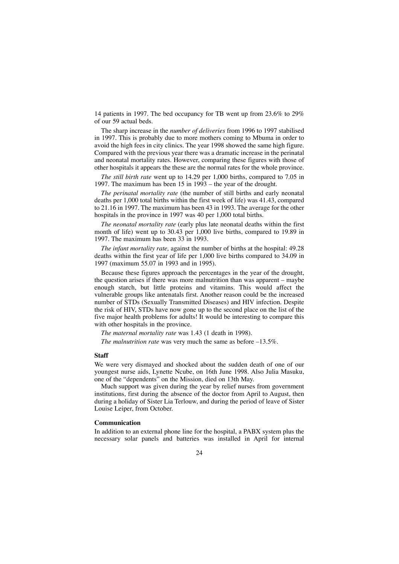14 patients in 1997. The bed occupancy for TB went up from 23.6% to 29% of our 59 actual beds.

The sharp increase in the *number of deliveries* from 1996 to 1997 stabilised in 1997. This is probably due to more mothers coming to Mbuma in order to avoid the high fees in city clinics. The year 1998 showed the same high figure. Compared with the previous year there was a dramatic increase in the perinatal and neonatal mortality rates. However, comparing these figures with those of other hospitals it appears the these are the normal rates for the whole province.

*The still birth rate* went up to 14.29 per 1,000 births, compared to 7.05 in 1997. The maximum has been 15 in 1993 – the year of the drought.

*The perinatal mortality rate* (the number of still births and early neonatal deaths per 1,000 total births within the first week of life) was 41.43, compared to 21.16 in 1997. The maximum has been 43 in 1993. The average for the other hospitals in the province in 1997 was 40 per 1,000 total births.

*The neonatal mortality rate* (early plus late neonatal deaths within the first month of life) went up to 30.43 per 1,000 live births, compared to 19.89 in 1997. The maximum has been 33 in 1993.

*The infant mortality rate,* against the number of births at the hospital: 49.28 deaths within the first year of life per 1,000 live births compared to 34.09 in 1997 (maximum 55.07 in 1993 and in 1995).

Because these figures approach the percentages in the year of the drought, the question arises if there was more malnutrition than was apparent – maybe enough starch, but little proteins and vitamins. This would affect the vulnerable groups like antenatals first. Another reason could be the increased number of STDs (Sexually Transmitted Diseases) and HIV infection. Despite the risk of HIV, STDs have now gone up to the second place on the list of the five major health problems for adults! It would be interesting to compare this with other hospitals in the province.

*The maternal mortality rate* was 1.43 (1 death in 1998).

*The malnutrition rate* was very much the same as before –13.5%.

#### **Staff**

We were very dismayed and shocked about the sudden death of one of our youngest nurse aids, Lynette Ncube, on 16th June 1998. Also Julia Masuku, one of the "dependents" on the Mission, died on 13th May.

Much support was given during the year by relief nurses from government institutions, first during the absence of the doctor from April to August, then during a holiday of Sister Lia Terlouw, and during the period of leave of Sister Louise Leiper, from October.

#### **Communication**

In addition to an external phone line for the hospital, a PABX system plus the necessary solar panels and batteries was installed in April for internal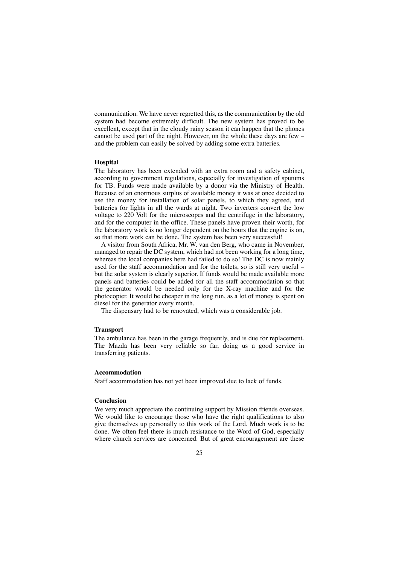communication. We have never regretted this, as the communication by the old system had become extremely difficult. The new system has proved to be excellent, except that in the cloudy rainy season it can happen that the phones cannot be used part of the night. However, on the whole these days are few – and the problem can easily be solved by adding some extra batteries.

#### **Hospital**

The laboratory has been extended with an extra room and a safety cabinet, according to government regulations, especially for investigation of sputums for TB. Funds were made available by a donor via the Ministry of Health. Because of an enormous surplus of available money it was at once decided to use the money for installation of solar panels, to which they agreed, and batteries for lights in all the wards at night. Two inverters convert the low voltage to 220 Volt for the microscopes and the centrifuge in the laboratory, and for the computer in the office. These panels have proven their worth, for the laboratory work is no longer dependent on the hours that the engine is on, so that more work can be done. The system has been very successful!

A visitor from South Africa, Mr. W. van den Berg, who came in November, managed to repair the DC system, which had not been working for a long time, whereas the local companies here had failed to do so! The DC is now mainly used for the staff accommodation and for the toilets, so is still very useful – but the solar system is clearly superior. If funds would be made available more panels and batteries could be added for all the staff accommodation so that the generator would be needed only for the X-ray machine and for the photocopier. It would be cheaper in the long run, as a lot of money is spent on diesel for the generator every month.

The dispensary had to be renovated, which was a considerable job.

#### **Transport**

The ambulance has been in the garage frequently, and is due for replacement. The Mazda has been very reliable so far, doing us a good service in transferring patients.

#### **Accommodation**

Staff accommodation has not yet been improved due to lack of funds.

#### **Conclusion**

We very much appreciate the continuing support by Mission friends overseas. We would like to encourage those who have the right qualifications to also give themselves up personally to this work of the Lord. Much work is to be done. We often feel there is much resistance to the Word of God, especially where church services are concerned. But of great encouragement are these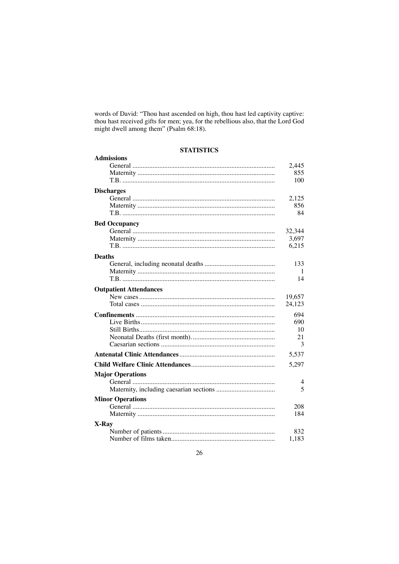words of David: "Thou hast ascended on high, thou hast led captivity captive: thou hast received gifts for men; yea, for the rebellious also, that the Lord God<br>might dwell among them" (Psalm 68:18).

## **STATISTICS**

| <b>Admissions</b>             |        |
|-------------------------------|--------|
|                               | 2,445  |
|                               | 855    |
|                               | 100    |
| <b>Discharges</b>             |        |
|                               | 2,125  |
|                               | 856    |
|                               | 84     |
| <b>Bed Occupancy</b>          |        |
|                               | 32,344 |
|                               | 3,697  |
|                               | 6,215  |
| <b>Deaths</b>                 |        |
|                               | 133    |
|                               | 1      |
|                               | 14     |
| <b>Outpatient Attendances</b> |        |
|                               | 19,657 |
|                               | 24,123 |
|                               | 694    |
|                               | 690    |
|                               | 10     |
|                               | 21     |
|                               | 3      |
|                               | 5,537  |
|                               | 5,297  |
| <b>Major Operations</b>       |        |
|                               | 4      |
|                               | 5      |
| <b>Minor Operations</b>       |        |
|                               | 208    |
|                               | 184    |
| X-Ray                         |        |
|                               | 832    |
|                               | 1,183  |
|                               |        |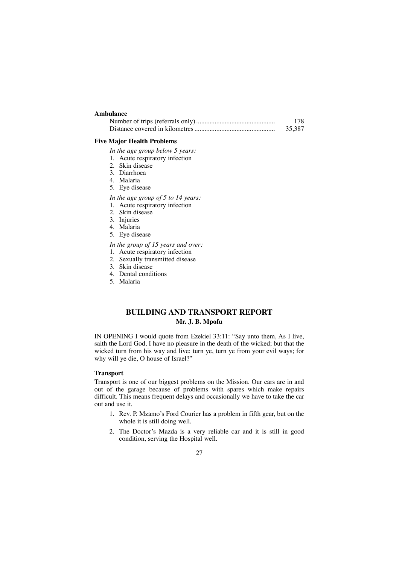### **Ambulance**

| 178.   |
|--------|
| 35,387 |

#### **Five Major Health Problems**

- *In the age group below 5 years:*
- 1. Acute respiratory infection
- 2. Skin disease
- 3. Diarrhoea
- 4. Malaria
- 5. Eye disease
- *In the age group of 5 to 14 years:*
- 1. Acute respiratory infection
- 2. Skin disease
- 3. Injuries
- 4. Malaria
- 5. Eye disease
- *In the group of 15 years and over:*
- 1. Acute respiratory infection
- 2. Sexually transmitted disease
- 3. Skin disease
- 4. Dental conditions
- 5. Malaria

## **BUILDING AND TRANSPORT REPORT Mr. J. B. Mpofu**

IN OPENING I would quote from Ezekiel 33:11: "Say unto them, As I live, saith the Lord God, I have no pleasure in the death of the wicked; but that the wicked turn from his way and live: turn ye, turn ye from your evil ways; for why will ye die, O house of Israel?"

#### **Transport**

Transport is one of our biggest problems on the Mission. Our cars are in and out of the garage because of problems with spares which make repairs difficult. This means frequent delays and occasionally we have to take the car out and use it.

- 1. Rev. P. Mzamo's Ford Courier has a problem in fifth gear, but on the whole it is still doing well.
- 2. The Doctor's Mazda is a very reliable car and it is still in good condition, serving the Hospital well.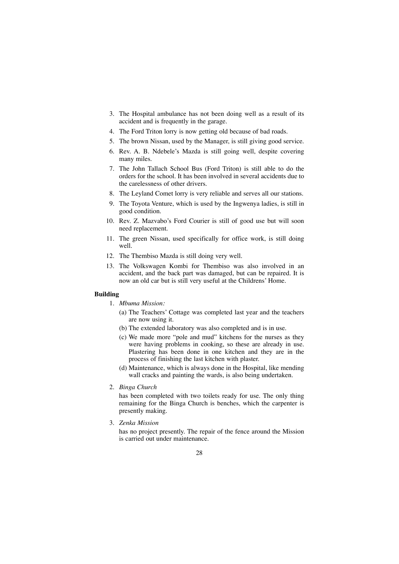- 3. The Hospital ambulance has not been doing well as a result of its accident and is frequently in the garage.
- 4. The Ford Triton lorry is now getting old because of bad roads.
- 5. The brown Nissan, used by the Manager, is still giving good service.
- 6. Rev. A. B. Ndebele's Mazda is still going well, despite covering many miles.
- 7. The John Tallach School Bus (Ford Triton) is still able to do the orders for the school. It has been involved in several accidents due to the carelessness of other drivers.
- 8. The Leyland Comet lorry is very reliable and serves all our stations.
- 9. The Toyota Venture, which is used by the Ingwenya ladies, is still in good condition.
- 10. Rev. Z. Mazvabo's Ford Courier is still of good use but will soon need replacement.
- 11. The green Nissan, used specifically for office work, is still doing well.
- 12. The Thembiso Mazda is still doing very well.
- 13. The Volkswagen Kombi for Thembiso was also involved in an accident, and the back part was damaged, but can be repaired. It is now an old car but is still very useful at the Childrens' Home.

### **Building**

- 1. *Mbuma Mission:*
	- (a) The Teachers' Cottage was completed last year and the teachers are now using it.
	- (b) The extended laboratory was also completed and is in use.
	- (c) We made more "pole and mud" kitchens for the nurses as they were having problems in cooking, so these are already in use. Plastering has been done in one kitchen and they are in the process of finishing the last kitchen with plaster.
	- (d) Maintenance, which is always done in the Hospital, like mending wall cracks and painting the wards, is also being undertaken.
- 2. *Binga Church*

has been completed with two toilets ready for use. The only thing remaining for the Binga Church is benches, which the carpenter is presently making.

3. *Zenka Mission*

has no project presently. The repair of the fence around the Mission is carried out under maintenance.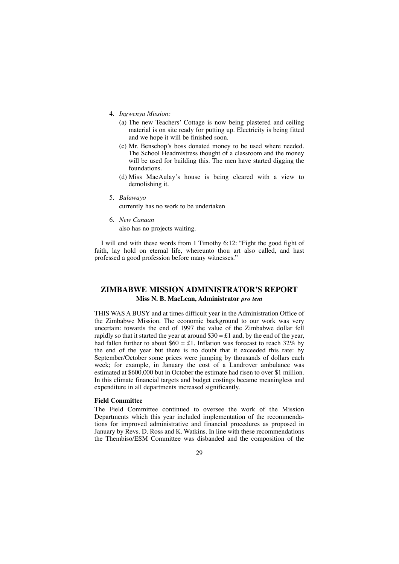- 4. *Ingwenya Mission:*
	- (a) The new Teachers' Cottage is now being plastered and ceiling material is on site ready for putting up. Electricity is being fitted and we hope it will be finished soon.
	- (c) Mr. Benschop's boss donated money to be used where needed. The School Headmistress thought of a classroom and the money will be used for building this. The men have started digging the foundations.
	- (d) Miss MacAulay's house is being cleared with a view to demolishing it.
- 5. *Bulawayo*

currently has no work to be undertaken

6. *New Canaan*

also has no projects waiting.

I will end with these words from 1 Timothy 6:12: "Fight the good fight of faith, lay hold on eternal life, whereunto thou art also called, and hast professed a good profession before many witnesses."

## **ZIMBABWE MISSION ADMINISTRATOR'S REPORT Miss N. B. MacLean, Administrator** *pro tem*

THIS WAS A BUSY and at times difficult year in the Administration Office of the Zimbabwe Mission. The economic background to our work was very uncertain: towards the end of 1997 the value of the Zimbabwe dollar fell rapidly so that it started the year at around  $$30 = £1$  and, by the end of the year, had fallen further to about  $$60 = £1$ . Inflation was forecast to reach 32% by the end of the year but there is no doubt that it exceeded this rate: by September/October some prices were jumping by thousands of dollars each week; for example, in January the cost of a Landrover ambulance was estimated at \$600,000 but in October the estimate had risen to over \$1 million. In this climate financial targets and budget costings became meaningless and expenditure in all departments increased significantly.

#### **Field Committee**

The Field Committee continued to oversee the work of the Mission Departments which this year included implementation of the recommendations for improved administrative and financial procedures as proposed in January by Revs. D. Ross and K. Watkins. In line with these recommendations the Thembiso/ESM Committee was disbanded and the composition of the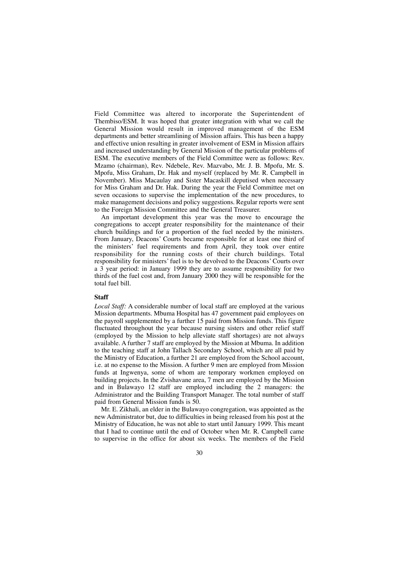Field Committee was altered to incorporate the Superintendent of Thembiso/ESM. It was hoped that greater integration with what we call the General Mission would result in improved management of the ESM departments and better streamlining of Mission affairs. This has been a happy and effective union resulting in greater involvement of ESM in Mission affairs and increased understanding by General Mission of the particular problems of ESM. The executive members of the Field Committee were as follows: Rev. Mzamo (chairman), Rev. Ndebele, Rev. Mazvabo, Mr. J. B. Mpofu, Mr. S. Mpofu, Miss Graham, Dr. Hak and myself (replaced by Mr. R. Campbell in November). Miss Macaulay and Sister Macaskill deputised when necessary for Miss Graham and Dr. Hak. During the year the Field Committee met on seven occasions to supervise the implementation of the new procedures, to make management decisions and policy suggestions. Regular reports were sent to the Foreign Mission Committee and the General Treasurer.

An important development this year was the move to encourage the congregations to accept greater responsibility for the maintenance of their church buildings and for a proportion of the fuel needed by the ministers. From January, Deacons' Courts became responsible for at least one third of the ministers' fuel requirements and from April, they took over entire responsibility for the running costs of their church buildings. Total responsibility for ministers' fuel is to be devolved to the Deacons' Courts over a 3 year period: in January 1999 they are to assume responsibility for two thirds of the fuel cost and, from January 2000 they will be responsible for the total fuel bill.

#### **Staff**

*Local Staff:* A considerable number of local staff are employed at the various Mission departments. Mbuma Hospital has 47 government paid employees on the payroll supplemented by a further 15 paid from Mission funds. This figure fluctuated throughout the year because nursing sisters and other relief staff (employed by the Mission to help alleviate staff shortages) are not always available. A further 7 staff are employed by the Mission at Mbuma. In addition to the teaching staff at John Tallach Secondary School, which are all paid by the Ministry of Education, a further 21 are employed from the School account, i.e. at no expense to the Mission. A further 9 men are employed from Mission funds at Ingwenya, some of whom are temporary workmen employed on building projects. In the Zvishavane area, 7 men are employed by the Mission and in Bulawayo 12 staff are employed including the 2 managers: the Administrator and the Building Transport Manager. The total number of staff paid from General Mission funds is 50.

Mr. E. Zikhali, an elder in the Bulawayo congregation, was appointed as the new Administrator but, due to difficulties in being released from his post at the Ministry of Education, he was not able to start until January 1999. This meant that I had to continue until the end of October when Mr. R. Campbell came to supervise in the office for about six weeks. The members of the Field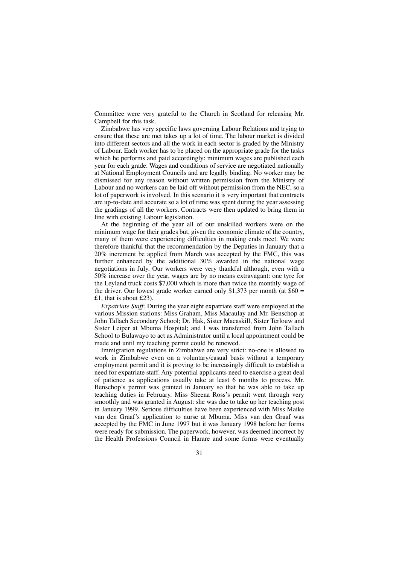Committee were very grateful to the Church in Scotland for releasing Mr. Campbell for this task.

Zimbabwe has very specific laws governing Labour Relations and trying to ensure that these are met takes up a lot of time. The labour market is divided into different sectors and all the work in each sector is graded by the Ministry of Labour. Each worker has to be placed on the appropriate grade for the tasks which he performs and paid accordingly: minimum wages are published each year for each grade. Wages and conditions of service are negotiated nationally at National Employment Councils and are legally binding. No worker may be dismissed for any reason without written permission from the Ministry of Labour and no workers can be laid off without permission from the NEC, so a lot of paperwork is involved. In this scenario it is very important that contracts are up-to-date and accurate so a lot of time was spent during the year assessing the gradings of all the workers. Contracts were then updated to bring them in line with existing Labour legislation.

At the beginning of the year all of our unskilled workers were on the minimum wage for their grades but, given the economic climate of the country, many of them were experiencing difficulties in making ends meet. We were therefore thankful that the recommendation by the Deputies in January that a 20% increment be applied from March was accepted by the FMC, this was further enhanced by the additional 30% awarded in the national wage negotiations in July. Our workers were very thankful although, even with a 50% increase over the year, wages are by no means extravagant: one tyre for the Leyland truck costs \$7,000 which is more than twice the monthly wage of the driver. Our lowest grade worker earned only \$1,373 per month (at  $$60 =$ £1, that is about £23).

*Expatriate Staff:* During the year eight expatriate staff were employed at the various Mission stations: Miss Graham, Miss Macaulay and Mr. Benschop at John Tallach Secondary School; Dr. Hak, Sister Macaskill, Sister Terlouw and Sister Leiper at Mbuma Hospital; and I was transferred from John Tallach School to Bulawayo to act as Administrator until a local appointment could be made and until my teaching permit could be renewed.

Immigration regulations in Zimbabwe are very strict: no-one is allowed to work in Zimbabwe even on a voluntary/casual basis without a temporary employment permit and it is proving to be increasingly difficult to establish a need for expatriate staff. Any potential applicants need to exercise a great deal of patience as applications usually take at least 6 months to process. Mr. Benschop's permit was granted in January so that he was able to take up teaching duties in February. Miss Sheena Ross's permit went through very smoothly and was granted in August: she was due to take up her teaching post in January 1999. Serious difficulties have been experienced with Miss Maike van den Graaf's application to nurse at Mbuma. Miss van den Graaf was accepted by the FMC in June 1997 but it was January 1998 before her forms were ready for submission. The paperwork, however, was deemed incorrect by the Health Professions Council in Harare and some forms were eventually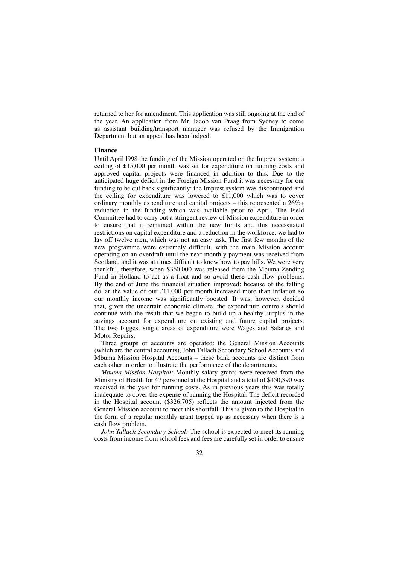returned to her for amendment. This application was still ongoing at the end of the year. An application from Mr. Jacob van Praag from Sydney to come as assistant building/transport manager was refused by the Immigration Department but an appeal has been lodged.

#### **Finance**

Until April l998 the funding of the Mission operated on the Imprest system: a ceiling of £15,000 per month was set for expenditure on running costs and approved capital projects were financed in addition to this. Due to the anticipated huge deficit in the Foreign Mission Fund it was necessary for our funding to be cut back significantly: the Imprest system was discontinued and the ceiling for expenditure was lowered to £11,000 which was to cover ordinary monthly expenditure and capital projects – this represented a 26%+ reduction in the funding which was available prior to April. The Field Committee had to carry out a stringent review of Mission expenditure in order to ensure that it remained within the new limits and this necessitated restrictions on capital expenditure and a reduction in the workforce: we had to lay off twelve men, which was not an easy task. The first few months of the new programme were extremely difficult, with the main Mission account operating on an overdraft until the next monthly payment was received from Scotland, and it was at times difficult to know how to pay bills. We were very thankful, therefore, when \$360,000 was released from the Mbuma Zending Fund in Holland to act as a float and so avoid these cash flow problems. By the end of June the financial situation improved: because of the falling dollar the value of our £11,000 per month increased more than inflation so our monthly income was significantly boosted. It was, however, decided that, given the uncertain economic climate, the expenditure controls should continue with the result that we began to build up a healthy surplus in the savings account for expenditure on existing and future capital projects. The two biggest single areas of expenditure were Wages and Salaries and Motor Repairs.

Three groups of accounts are operated: the General Mission Accounts (which are the central accounts), John Tallach Secondary School Accounts and Mbuma Mission Hospital Accounts – these bank accounts are distinct from each other in order to illustrate the performance of the departments.

*Mbuma Mission Hospital:* Monthly salary grants were received from the Ministry of Health for 47 personnel at the Hospital and a total of \$450,890 was received in the year for running costs. As in previous years this was totally inadequate to cover the expense of running the Hospital. The deficit recorded in the Hospital account (\$326,705) reflects the amount injected from the General Mission account to meet this shortfall. This is given to the Hospital in the form of a regular monthly grant topped up as necessary when there is a cash flow problem.

*John Tallach Secondary School:* The school is expected to meet its running costs from income from school fees and fees are carefully set in order to ensure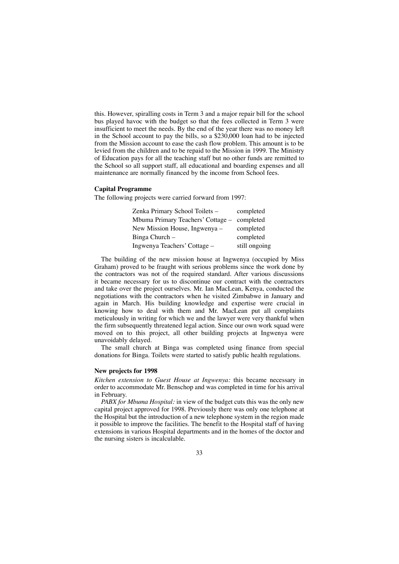this. However, spiralling costs in Term 3 and a major repair bill for the school bus played havoc with the budget so that the fees collected in Term 3 were insufficient to meet the needs. By the end of the year there was no money left in the School account to pay the bills, so a \$230,000 loan had to be injected from the Mission account to ease the cash flow problem. This amount is to be levied from the children and to be repaid to the Mission in 1999. The Ministry of Education pays for all the teaching staff but no other funds are remitted to the School so all support staff, all educational and boarding expenses and all maintenance are normally financed by the income from School fees.

#### **Capital Programme**

The following projects were carried forward from 1997:

| Zenka Primary School Toilets -              | completed     |
|---------------------------------------------|---------------|
| Mbuma Primary Teachers' Cottage - completed |               |
| New Mission House, Ingwenya –               | completed     |
| Binga Church -                              | completed     |
| Ingwenya Teachers' Cottage –                | still ongoing |

The building of the new mission house at Ingwenya (occupied by Miss Graham) proved to be fraught with serious problems since the work done by the contractors was not of the required standard. After various discussions it became necessary for us to discontinue our contract with the contractors and take over the project ourselves. Mr. Ian MacLean, Kenya, conducted the negotiations with the contractors when he visited Zimbabwe in January and again in March. His building knowledge and expertise were crucial in knowing how to deal with them and Mr. MacLean put all complaints meticulously in writing for which we and the lawyer were very thankful when the firm subsequently threatened legal action. Since our own work squad were moved on to this project, all other building projects at Ingwenya were unavoidably delayed.

The small church at Binga was completed using finance from special donations for Binga. Toilets were started to satisfy public health regulations.

#### **New projects for 1998**

*Kitchen extension to Guest House at Ingwenya:* this became necessary in order to accommodate Mr. Benschop and was completed in time for his arrival in February.

*PABX for Mbuma Hospital:* in view of the budget cuts this was the only new capital project approved for 1998. Previously there was only one telephone at the Hospital but the introduction of a new telephone system in the region made it possible to improve the facilities. The benefit to the Hospital staff of having extensions in various Hospital departments and in the homes of the doctor and the nursing sisters is incalculable.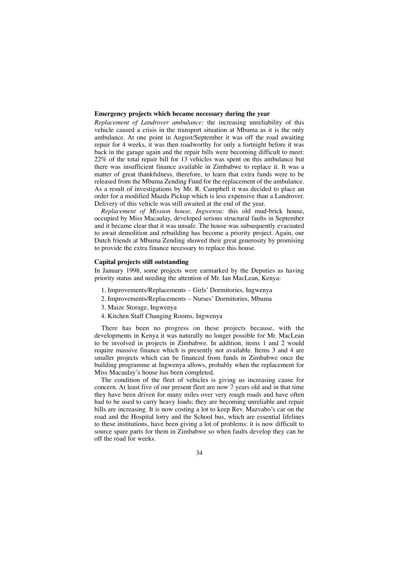#### **Emergency projects which became necessary during the year**

*Replacement of Landrover ambulance:* the increasing unreliability of this vehicle caused a crisis in the transport situation at Mbuma as it is the only ambulance. At one point in August/September it was off the road awaiting repair for 4 weeks, it was then roadworthy for only a fortnight before it was back in the garage again and the repair bills were becoming difficult to meet: 22% of the total repair bill for 13 vehicles was spent on this ambulance but there was insufficient finance available in Zimbabwe to replace it. It was a matter of great thankfulness, therefore, to learn that extra funds were to be released from the Mbuma Zending Fund for the replacement of the ambulance. As a result of investigations by Mr. R. Campbell it was decided to place an order for a modified Mazda Pickup which is less expensive than a Landrover. Delivery of this vehicle was still awaited at the end of the year.

*Replacement of Mission house, Ingwenya:* this old mud-brick house, occupied by Miss Macaulay, developed serious structural faults in September and it became clear that it was unsafe. The house was subsequently evacuated to await demolition and rebuilding has become a priority project. Again, our Dutch friends at Mbuma Zending showed their great generosity by promising to provide the extra finance necessary to replace this house.

#### **Capital projects still outstanding**

In January 1998, some projects were earmarked by the Deputies as having priority status and needing the attention of Mr. Ian MacLean, Kenya:

- 1. Improvements/Replacements Girls' Dormitories, Ingwenya
- 2. Improvements/Replacements Nurses' Dormitories, Mbuma
- 3. Maize Storage, Ingwenya
- 4. Kitchen Staff Changing Rooms, Ingwenya

There has been no progress on these projects because, with the developments in Kenya it was naturally no longer possible for Mr. MacLean to be involved in projects in Zimbabwe. In addition, items 1 and 2 would require massive finance which is presently not available. Items 3 and 4 are smaller projects which can be financed from funds in Zimbabwe once the building programme at Ingwenya allows, probably when the replacement for Miss Macaulay's house has been completed.

The condition of the fleet of vehicles is giving us increasing cause for concern. At least five of our present fleet are now 7 years old and in that time they have been driven for many miles over very rough roads and have often had to be used to carry heavy loads; they are becoming unreliable and repair bills are increasing. It is now costing a lot to keep Rev. Mazvabo's car on the road and the Hospital lorry and the School bus, which are essential lifelines to these institutions, have been giving a lot of problems: it is now difficult to source spare parts for them in Zimbabwe so when faults develop they can be off the road for weeks.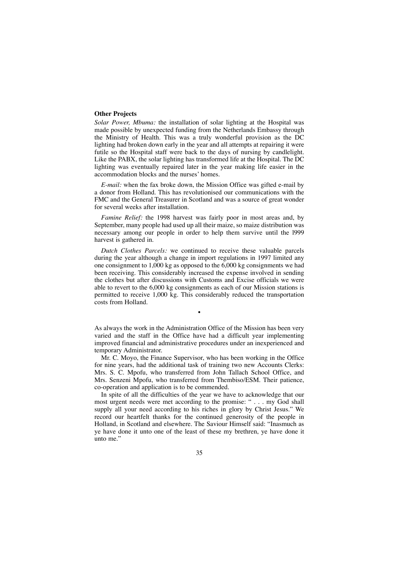#### **Other Projects**

*Solar Power, Mbuma:* the installation of solar lighting at the Hospital was made possible by unexpected funding from the Netherlands Embassy through the Ministry of Health. This was a truly wonderful provision as the DC lighting had broken down early in the year and all attempts at repairing it were futile so the Hospital staff were back to the days of nursing by candlelight. Like the PABX, the solar lighting has transformed life at the Hospital. The DC lighting was eventually repaired later in the year making life easier in the accommodation blocks and the nurses' homes.

*E-mail:* when the fax broke down, the Mission Office was gifted e-mail by a donor from Holland. This has revolutionised our communications with the FMC and the General Treasurer in Scotland and was a source of great wonder for several weeks after installation.

*Famine Relief:* the 1998 harvest was fairly poor in most areas and, by September, many people had used up all their maize, so maize distribution was necessary among our people in order to help them survive until the l999 harvest is gathered in.

*Dutch Clothes Parcels:* we continued to receive these valuable parcels during the year although a change in import regulations in 1997 limited any one consignment to 1,000 kg as opposed to the 6,000 kg consignments we had been receiving. This considerably increased the expense involved in sending the clothes but after discussions with Customs and Excise officials we were able to revert to the 6,000 kg consignments as each of our Mission stations is permitted to receive 1,000 kg. This considerably reduced the transportation costs from Holland.

As always the work in the Administration Office of the Mission has been very varied and the staff in the Office have had a difficult year implementing improved financial and administrative procedures under an inexperienced and temporary Administrator.

•

Mr. C. Moyo, the Finance Supervisor, who has been working in the Office for nine years, had the additional task of training two new Accounts Clerks: Mrs. S. C. Mpofu, who transferred from John Tallach School Office, and Mrs. Senzeni Mpofu, who transferred from Thembiso/ESM. Their patience, co-operation and application is to be commended.

In spite of all the difficulties of the year we have to acknowledge that our most urgent needs were met according to the promise: " . . . my God shall supply all your need according to his riches in glory by Christ Jesus." We record our heartfelt thanks for the continued generosity of the people in Holland, in Scotland and elsewhere. The Saviour Himself said: "Inasmuch as ye have done it unto one of the least of these my brethren, ye have done it unto me."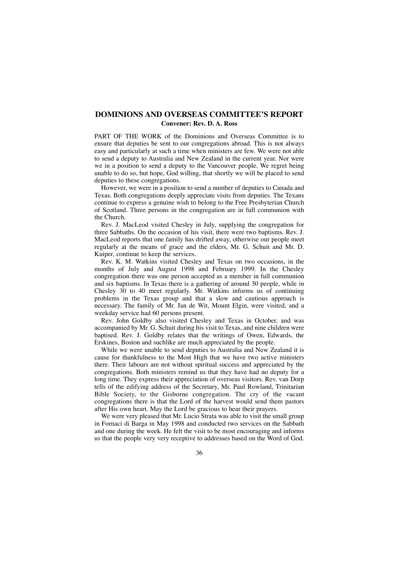## **DOMINIONS AND OVERSEAS COMMITTEE'S REPORT Convener: Rev. D. A. Ross**

PART OF THE WORK of the Dominions and Overseas Committee is to ensure that deputies be sent to our congregations abroad. This is not always easy and particularly at such a time when ministers are few. We were not able to send a deputy to Australia and New Zealand in the current year. Nor were we in a position to send a deputy to the Vancouver people. We regret being unable to do so, but hope, God willing, that shortly we will be placed to send deputies to these congregations.

However, we were in a position to send a number of deputies to Canada and Texas. Both congregations deeply appreciate visits from deputies. The Texans continue to express a genuine wish to belong to the Free Presbyterian Church of Scotland. Three persons in the congregation are in full communion with the Church.

Rev. J. MacLeod visited Chesley in July, supplying the congregation for three Sabbaths. On the occasion of his visit, there were two baptisms. Rev. J. MacLeod reports that one family has drifted away, otherwise our people meet regularly at the means of grace and the elders, Mr. G. Schuit and Mr. D. Kuiper, continue to keep the services.

Rev. K. M. Watkins visited Chesley and Texas on two occasions, in the months of July and August 1998 and February 1999. In the Chesley congregation there was one person accepted as a member in full communion and six baptisms. In Texas there is a gathering of around 30 people, while in Chesley 30 to 40 meet regularly. Mr. Watkins informs us of continuing problems in the Texas group and that a slow and cautious approach is necessary. The family of Mr. Jan de Wit, Mount Elgin, were visited, and a weekday service had 60 persons present.

Rev. John Goldby also visited Chesley and Texas in October, and was accompanied by Mr. G. Schuit during his visit to Texas, and nine children were baptised. Rev. J. Goldby relates that the writings of Owen, Edwards, the Erskines, Boston and suchlike are much appreciated by the people.

While we were unable to send deputies to Australia and New Zealand it is cause for thankfulness to the Most High that we have two active ministers there. Their labours are not without spiritual success and appreciated by the congregations. Both ministers remind us that they have had no deputy for a long time. They express their appreciation of overseas visitors. Rev. van Dorp tells of the edifying address of the Secretary, Mr. Paul Rowland, Trinitarian Bible Society, to the Gisborne congregation. The cry of the vacant congregations there is that the Lord of the harvest would send them pastors after His own heart. May the Lord be gracious to hear their prayers.

We were very pleased that Mr. Lucio Strata was able to visit the small group in Fornaci di Barga in May 1998 and conducted two services on the Sabbath and one during the week. He felt the visit to be most encouraging and informs us that the people very very receptive to addresses based on the Word of God.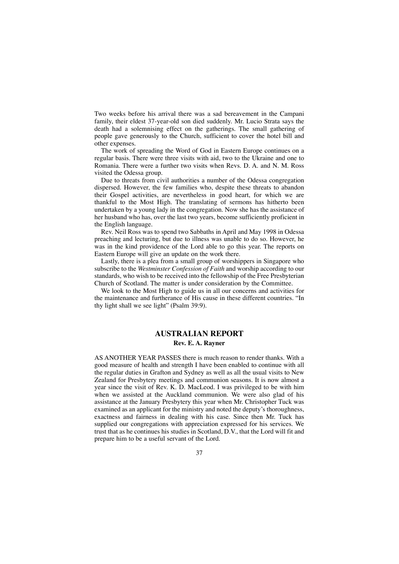Two weeks before his arrival there was a sad bereavement in the Campani family, their eldest 37-year-old son died suddenly. Mr. Lucio Strata says the death had a solemnising effect on the gatherings. The small gathering of people gave generously to the Church, sufficient to cover the hotel bill and other expenses.

The work of spreading the Word of God in Eastern Europe continues on a regular basis. There were three visits with aid, two to the Ukraine and one to Romania. There were a further two visits when Revs. D. A. and N. M. Ross visited the Odessa group.

Due to threats from civil authorities a number of the Odessa congregation dispersed. However, the few families who, despite these threats to abandon their Gospel activities, are nevertheless in good heart, for which we are thankful to the Most High. The translating of sermons has hitherto been undertaken by a young lady in the congregation. Now she has the assistance of her husband who has, over the last two years, become sufficiently proficient in the English language.

Rev. Neil Ross was to spend two Sabbaths in April and May 1998 in Odessa preaching and lecturing, but due to illness was unable to do so. However, he was in the kind providence of the Lord able to go this year. The reports on Eastern Europe will give an update on the work there.

Lastly, there is a plea from a small group of worshippers in Singapore who subscribe to the *Westminster Confession of Faith* and worship according to our standards, who wish to be received into the fellowship of the Free Presbyterian Church of Scotland. The matter is under consideration by the Committee.

We look to the Most High to guide us in all our concerns and activities for the maintenance and furtherance of His cause in these different countries. "In thy light shall we see light" (Psalm 39:9).

## **AUSTRALIAN REPORT Rev. E. A. Rayner**

AS ANOTHER YEAR PASSES there is much reason to render thanks. With a good measure of health and strength I have been enabled to continue with all the regular duties in Grafton and Sydney as well as all the usual visits to New Zealand for Presbytery meetings and communion seasons. It is now almost a year since the visit of Rev. K. D. MacLeod. I was privileged to be with him when we assisted at the Auckland communion. We were also glad of his assistance at the January Presbytery this year when Mr. Christopher Tuck was examined as an applicant for the ministry and noted the deputy's thoroughness, exactness and fairness in dealing with his case. Since then Mr. Tuck has supplied our congregations with appreciation expressed for his services. We trust that as he continues his studies in Scotland, D.V., that the Lord will fit and prepare him to be a useful servant of the Lord.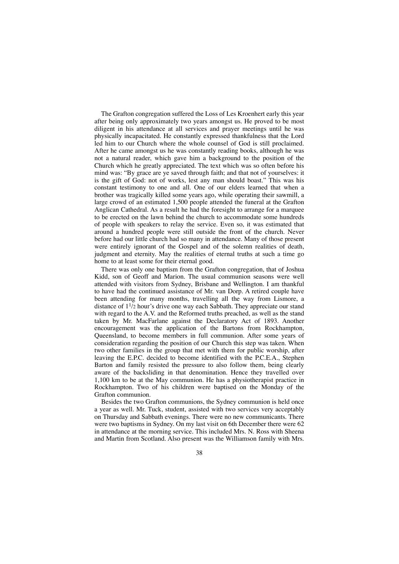The Grafton congregation suffered the Loss of Les Kroenhert early this year after being only approximately two years amongst us. He proved to be most diligent in his attendance at all services and prayer meetings until he was physically incapacitated. He constantly expressed thankfulness that the Lord led him to our Church where the whole counsel of God is still proclaimed. After he came amongst us he was constantly reading books, although he was not a natural reader, which gave him a background to the position of the Church which he greatly appreciated. The text which was so often before his mind was: "By grace are ye saved through faith; and that not of yourselves: it is the gift of God: not of works, lest any man should boast." This was his constant testimony to one and all. One of our elders learned that when a brother was tragically killed some years ago, while operating their sawmill, a large crowd of an estimated 1,500 people attended the funeral at the Grafton Anglican Cathedral. As a result he had the foresight to arrange for a marquee to be erected on the lawn behind the church to accommodate some hundreds of people with speakers to relay the service. Even so, it was estimated that around a hundred people were still outside the front of the church. Never before had our little church had so many in attendance. Many of those present were entirely ignorant of the Gospel and of the solemn realities of death, judgment and eternity. May the realities of eternal truths at such a time go home to at least some for their eternal good.

There was only one baptism from the Grafton congregation, that of Joshua Kidd, son of Geoff and Marion. The usual communion seasons were well attended with visitors from Sydney, Brisbane and Wellington. I am thankful to have had the continued assistance of Mr. van Dorp. A retired couple have been attending for many months, travelling all the way from Lismore, a distance of  $1^{1/2}$  hour's drive one way each Sabbath. They appreciate our stand with regard to the A.V. and the Reformed truths preached, as well as the stand taken by Mr. MacFarlane against the Declaratory Act of 1893. Another encouragement was the application of the Bartons from Rockhampton, Queensland, to become members in full communion. After some years of consideration regarding the position of our Church this step was taken. When two other families in the group that met with them for public worship, after leaving the E.P.C. decided to become identified with the P.C.E.A., Stephen Barton and family resisted the pressure to also follow them, being clearly aware of the backsliding in that denomination. Hence they travelled over 1,100 km to be at the May communion. He has a physiotherapist practice in Rockhampton. Two of his children were baptised on the Monday of the Grafton communion.

Besides the two Grafton communions, the Sydney communion is held once a year as well. Mr. Tuck, student, assisted with two services very acceptably on Thursday and Sabbath evenings. There were no new communicants. There were two baptisms in Sydney. On my last visit on 6th December there were 62 in attendance at the morning service. This included Mrs. N. Ross with Sheena and Martin from Scotland. Also present was the Williamson family with Mrs.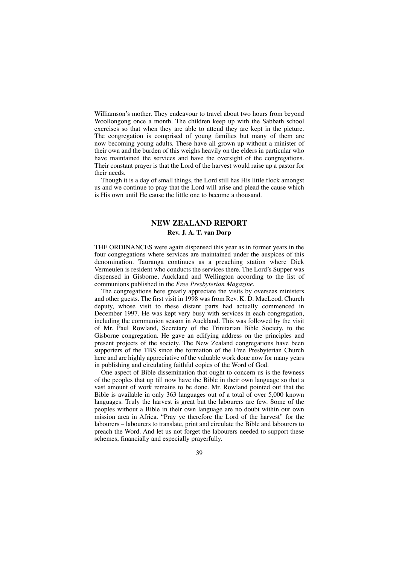Williamson's mother. They endeavour to travel about two hours from beyond Woollongong once a month. The children keep up with the Sabbath school exercises so that when they are able to attend they are kept in the picture. The congregation is comprised of young families but many of them are now becoming young adults. These have all grown up without a minister of their own and the burden of this weighs heavily on the elders in particular who have maintained the services and have the oversight of the congregations. Their constant prayer is that the Lord of the harvest would raise up a pastor for their needs.

Though it is a day of small things, the Lord still has His little flock amongst us and we continue to pray that the Lord will arise and plead the cause which is His own until He cause the little one to become a thousand.

## **NEW ZEALAND REPORT Rev. J. A. T. van Dorp**

THE ORDINANCES were again dispensed this year as in former years in the four congregations where services are maintained under the auspices of this denomination. Tauranga continues as a preaching station where Dick Vermeulen is resident who conducts the services there. The Lord's Supper was dispensed in Gisborne, Auckland and Wellington according to the list of communions published in the *Free Presbyterian Magazine.*

The congregations here greatly appreciate the visits by overseas ministers and other guests. The first visit in 1998 was from Rev. K. D. MacLeod, Church deputy, whose visit to these distant parts had actually commenced in December 1997. He was kept very busy with services in each congregation, including the communion season in Auckland. This was followed by the visit of Mr. Paul Rowland, Secretary of the Trinitarian Bible Society, to the Gisborne congregation. He gave an edifying address on the principles and present projects of the society. The New Zealand congregations have been supporters of the TBS since the formation of the Free Presbyterian Church here and are highly appreciative of the valuable work done now for many years in publishing and circulating faithful copies of the Word of God.

One aspect of Bible dissemination that ought to concern us is the fewness of the peoples that up till now have the Bible in their own language so that a vast amount of work remains to be done. Mr. Rowland pointed out that the Bible is available in only 363 languages out of a total of over 5,000 known languages. Truly the harvest is great but the labourers are few. Some of the peoples without a Bible in their own language are no doubt within our own mission area in Africa. "Pray ye therefore the Lord of the harvest" for the labourers – labourers to translate, print and circulate the Bible and labourers to preach the Word. And let us not forget the labourers needed to support these schemes, financially and especially prayerfully.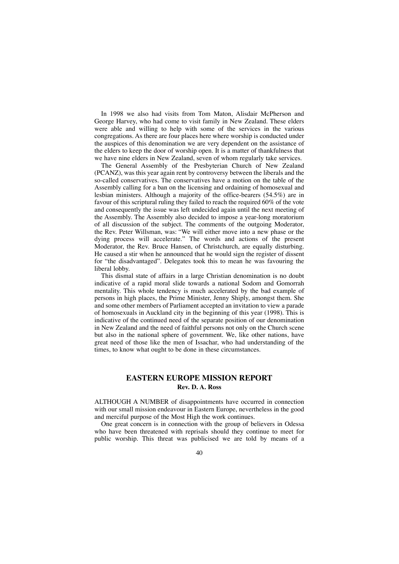In 1998 we also had visits from Tom Maton, Alisdair McPherson and George Harvey, who had come to visit family in New Zealand. These elders were able and willing to help with some of the services in the various congregations. As there are four places here where worship is conducted under the auspices of this denomination we are very dependent on the assistance of the elders to keep the door of worship open. It is a matter of thankfulness that we have nine elders in New Zealand, seven of whom regularly take services.

The General Assembly of the Presbyterian Church of New Zealand (PCANZ), was this year again rent by controversy between the liberals and the so-called conservatives. The conservatives have a motion on the table of the Assembly calling for a ban on the licensing and ordaining of homosexual and lesbian ministers. Although a majority of the office-bearers (54.5%) are in favour of this scriptural ruling they failed to reach the required 60% of the vote and consequently the issue was left undecided again until the next meeting of the Assembly. The Assembly also decided to impose a year-long moratorium of all discussion of the subject. The comments of the outgoing Moderator, the Rev. Peter Willsman, was: "We will either move into a new phase or the dying process will accelerate." The words and actions of the present Moderator, the Rev. Bruce Hansen, of Christchurch, are equally disturbing. He caused a stir when he announced that he would sign the register of dissent for "the disadvantaged". Delegates took this to mean he was favouring the liberal lobby.

This dismal state of affairs in a large Christian denomination is no doubt indicative of a rapid moral slide towards a national Sodom and Gomorrah mentality. This whole tendency is much accelerated by the bad example of persons in high places, the Prime Minister, Jenny Shiply, amongst them. She and some other members of Parliament accepted an invitation to view a parade of homosexuals in Auckland city in the beginning of this year (1998). This is indicative of the continued need of the separate position of our denomination in New Zealand and the need of faithful persons not only on the Church scene but also in the national sphere of government. We, like other nations, have great need of those like the men of Issachar, who had understanding of the times, to know what ought to be done in these circumstances.

## **EASTERN EUROPE MISSION REPORT Rev. D. A. Ross**

ALTHOUGH A NUMBER of disappointments have occurred in connection with our small mission endeavour in Eastern Europe, nevertheless in the good and merciful purpose of the Most High the work continues.

One great concern is in connection with the group of believers in Odessa who have been threatened with reprisals should they continue to meet for public worship. This threat was publicised we are told by means of a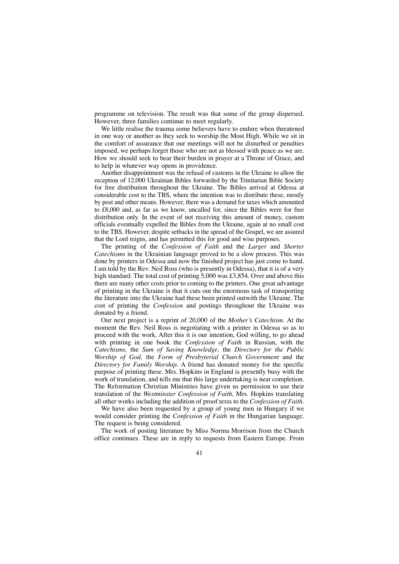programme on television. The result was that some of the group dispersed. However, three families continue to meet regularly.

We little realise the trauma some believers have to endure when threatened in one way or another as they seek to worship the Most High. While we sit in the comfort of assurance that our meetings will not be disturbed or penalties imposed, we perhaps forget those who are not as blessed with peace as we are. How we should seek to bear their burden in prayer at a Throne of Grace, and to help in whatever way opens in providence.

Another disappointment was the refusal of customs in the Ukraine to allow the reception of 12,000 Ukrainian Bibles forwarded by the Trinitarian Bible Society for free distribution throughout the Ukraine. The Bibles arrived at Odessa at considerable cost to the TBS, where the intention was to distribute these, mostly by post and other means. However, there was a demand for taxes which amounted to £8,000 and, as far as we know, uncalled for, since the Bibles were for free distribution only. In the event of not receiving this amount of money, custom officials eventually expelled the Bibles from the Ukraine, again at no small cost to the TBS. However, despite setbacks in the spread of the Gospel, we are assured that the Lord reigns, and has permitted this for good and wise purposes.

The printing of the *Confession of Faith* and the *Larger* and *Shorter Catechisms* in the Ukrainian language proved to be a slow process. This was done by printers in Odessa and now the finished project has just come to hand. I am told by the Rev. Neil Ross (who is presently in Odessa), that it is of a very high standard. The total cost of printing 5,000 was £3,854. Over and above this there are many other costs prior to coming to the printers. One great advantage of printing in the Ukraine is that it cuts out the enormous task of transporting the literature into the Ukraine had these been printed outwith the Ukraine. The cost of printing the *Confession* and postings throughout the Ukraine was donated by a friend.

Our next project is a reprint of 20,000 of the *Mother's Catechism.* At the moment the Rev. Neil Ross is negotiating with a printer in Odessa so as to proceed with the work. After this it is our intention, God willing, to go ahead with printing in one book the *Confession of Faith* in Russian, with the *Catechisms,* the *Sum of Saving Knowledge,* the *Directory for the Public Worship of God,* the *Form of Presbyterial Church Government* and the *Directory for Family Worship.* A friend has donated money for the specific purpose of printing these. Mrs. Hopkins in England is presently busy with the work of translation, and tells me that this large undertaking is near completion. The Reformation Christian Ministries have given us permission to use their translation of the *Westminster Confession of Faith,* Mrs. Hopkins translating all other works including the addition of proof texts to the *Confession of Faith.*

We have also been requested by a group of young men in Hungary if we would consider printing the *Confession of Faith* in the Hungarian language. The request is being considered.

The work of posting literature by Miss Norma Morrison from the Church office continues. These are in reply to requests from Eastern Europe. From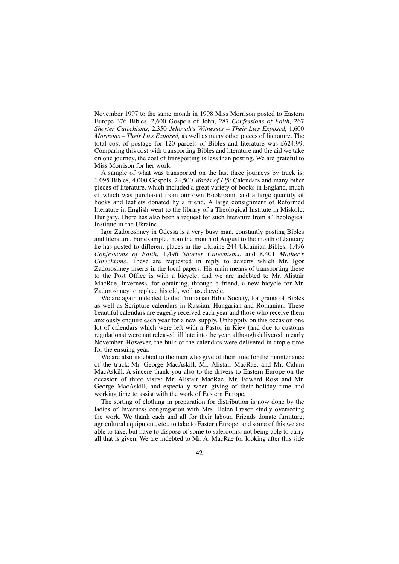November 1997 to the same month in 1998 Miss Morrison posted to Eastern Europe 376 Bibles, 2,600 Gospels of John, 287 *Confessions of Faith,* 267 *Shorter Catechisms,* 2,350 *Jehovah's Witnesses – Their Lies Exposed,* 1,600 *Mormons – Their Lies Exposed,* as well as many other pieces of literature. The total cost of postage for 120 parcels of Bibles and literature was £624.99. Comparing this cost with transporting Bibles and literature and the aid we take on one journey, the cost of transporting is less than posting. We are grateful to Miss Morrison for her work.

A sample of what was transported on the last three journeys by truck is: 1,095 Bibles, 4,000 Gospels, 24,500 *Words of Life* Calendars and many other pieces of literature, which included a great variety of books in England, much of which was purchased from our own Bookroom, and a large quantity of books and leaflets donated by a friend. A large consignment of Reformed literature in English went to the library of a Theological Institute in Miskolc, Hungary. There has also been a request for such literature from a Theological Institute in the Ukraine.

Igor Zadoroshney in Odessa is a very busy man, constantly posting Bibles and literature. For example, from the month of August to the month of January he has posted to different places in the Ukraine 244 Ukrainian Bibles, 1,496 *Confessions of Faith,* 1,496 *Shorter Catechisms,* and 8,401 *Mother's Catechisms.* These are requested in reply to adverts which Mr. Igor Zadoroshney inserts in the local papers. His main means of transporting these to the Post Office is with a bicycle, and we are indebted to Mr. Alistair MacRae, Inverness, for obtaining, through a friend, a new bicycle for Mr. Zadoroshney to replace his old, well used cycle.

We are again indebted to the Trinitarian Bible Society, for grants of Bibles as well as Scripture calendars in Russian, Hungarian and Romanian. These beautiful calendars are eagerly received each year and those who receive them anxiously enquire each year for a new supply. Unhappily on this occasion one lot of calendars which were left with a Pastor in Kiev (and due to customs regulations) were not released till late into the year, although delivered in early November. However, the bulk of the calendars were delivered in ample time for the ensuing year.

We are also indebted to the men who give of their time for the maintenance of the truck: Mr. George MacAskill, Mr. Alistair MacRae, and Mr. Calum MacAskill. A sincere thank you also to the drivers to Eastern Europe on the occasion of three visits: Mr. Alistair MacRae, Mr. Edward Ross and Mr. George MacAskill, and especially when giving of their holiday time and working time to assist with the work of Eastern Europe.

The sorting of clothing in preparation for distribution is now done by the ladies of Inverness congregation with Mrs. Helen Fraser kindly overseeing the work. We thank each and all for their labour. Friends donate furniture, agricultural equipment, etc., to take to Eastern Europe, and some of this we are able to take, but have to dispose of some to salerooms, not being able to carry all that is given. We are indebted to Mr. A. MacRae for looking after this side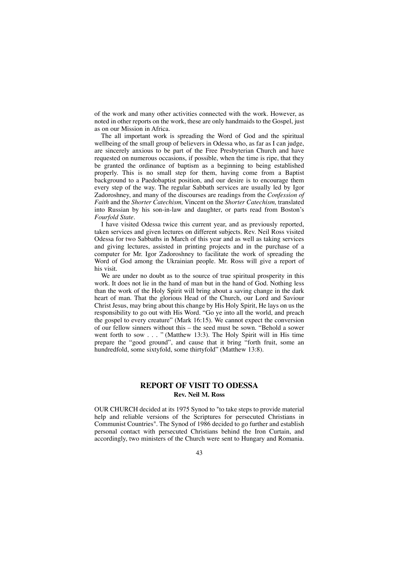of the work and many other activities connected with the work. However, as noted in other reports on the work, these are only handmaids to the Gospel, just as on our Mission in Africa.

The all important work is spreading the Word of God and the spiritual wellbeing of the small group of believers in Odessa who, as far as I can judge, are sincerely anxious to be part of the Free Presbyterian Church and have requested on numerous occasions, if possible, when the time is ripe, that they be granted the ordinance of baptism as a beginning to being established properly. This is no small step for them, having come from a Baptist background to a Paedobaptist position, and our desire is to encourage them every step of the way. The regular Sabbath services are usually led by Igor Zadoroshney, and many of the discourses are readings from the *Confession of Faith* and the *Shorter Catechism,* Vincent on the *Shorter Catechism,* translated into Russian by his son-in-law and daughter, or parts read from Boston's *Fourfold State.*

I have visited Odessa twice this current year, and as previously reported, taken services and given lectures on different subjects. Rev. Neil Ross visited Odessa for two Sabbaths in March of this year and as well as taking services and giving lectures, assisted in printing projects and in the purchase of a computer for Mr. Igor Zadoroshney to facilitate the work of spreading the Word of God among the Ukrainian people. Mr. Ross will give a report of his visit.

We are under no doubt as to the source of true spiritual prosperity in this work. It does not lie in the hand of man but in the hand of God. Nothing less than the work of the Holy Spirit will bring about a saving change in the dark heart of man. That the glorious Head of the Church, our Lord and Saviour Christ Jesus, may bring about this change by His Holy Spirit, He lays on us the responsibility to go out with His Word. "Go ye into all the world, and preach the gospel to every creature" (Mark 16:15). We cannot expect the conversion of our fellow sinners without this – the seed must be sown. "Behold a sower went forth to sow . . . " (Matthew 13:3). The Holy Spirit will in His time prepare the "good ground", and cause that it bring "forth fruit, some an hundredfold, some sixtyfold, some thirtyfold" (Matthew 13:8).

## **REPORT OF VISIT TO ODESSA Rev. Neil M. Ross**

OUR CHURCH decided at its 1975 Synod to "to take steps to provide material help and reliable versions of the Scriptures for persecuted Christians in Communist Countries". The Synod of 1986 decided to go further and establish personal contact with persecuted Christians behind the Iron Curtain, and accordingly, two ministers of the Church were sent to Hungary and Romania.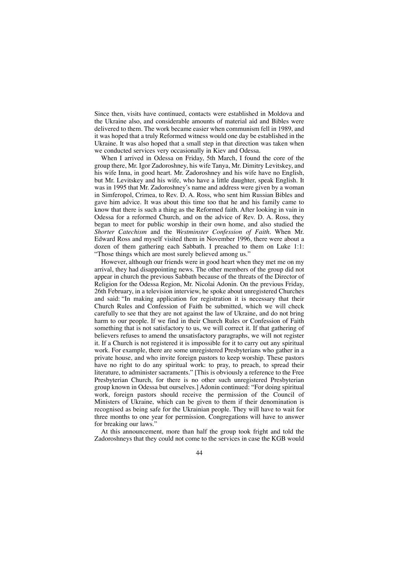Since then, visits have continued, contacts were established in Moldova and the Ukraine also, and considerable amounts of material aid and Bibles were delivered to them. The work became easier when communism fell in 1989, and it was hoped that a truly Reformed witness would one day be established in the Ukraine. It was also hoped that a small step in that direction was taken when we conducted services very occasionally in Kiev and Odessa.

When I arrived in Odessa on Friday, 5th March, I found the core of the group there, Mr. Igor Zadoroshney, his wife Tanya, Mr. Dimitry Levitskey, and his wife Inna, in good heart. Mr. Zadoroshney and his wife have no English, but Mr. Levitskey and his wife, who have a little daughter, speak English. It was in 1995 that Mr. Zadoroshney's name and address were given by a woman in Simferopol, Crimea, to Rev. D. A. Ross, who sent him Russian Bibles and gave him advice. It was about this time too that he and his family came to know that there is such a thing as the Reformed faith. After looking in vain in Odessa for a reformed Church, and on the advice of Rev. D. A. Ross, they began to meet for public worship in their own home, and also studied the *Shorter Catechism* and the *Westminster Confession of Faith.* When Mr. Edward Ross and myself visited them in November 1996, there were about a dozen of them gathering each Sabbath. I preached to them on Luke 1:1: "Those things which are most surely believed among us."

However, although our friends were in good heart when they met me on my arrival, they had disappointing news. The other members of the group did not appear in church the previous Sabbath because of the threats of the Director of Religion for the Odessa Region, Mr. Nicolai Adonin. On the previous Friday, 26th February, in a television interview, he spoke about unregistered Churches and said: "In making application for registration it is necessary that their Church Rules and Confession of Faith be submitted, which we will check carefully to see that they are not against the law of Ukraine, and do not bring harm to our people. If we find in their Church Rules or Confession of Faith something that is not satisfactory to us, we will correct it. If that gathering of believers refuses to amend the unsatisfactory paragraphs, we will not register it. If a Church is not registered it is impossible for it to carry out any spiritual work. For example, there are some unregistered Presbyterians who gather in a private house, and who invite foreign pastors to keep worship. These pastors have no right to do any spiritual work: to pray, to preach, to spread their literature, to administer sacraments." [This is obviously a reference to the Free Presbyterian Church, for there is no other such unregistered Presbyterian group known in Odessa but ourselves.] Adonin continued: "For doing spiritual work, foreign pastors should receive the permission of the Council of Ministers of Ukraine, which can be given to them if their denomination is recognised as being safe for the Ukrainian people. They will have to wait for three months to one year for permission. Congregations will have to answer for breaking our laws.'

At this announcement, more than half the group took fright and told the Zadoroshneys that they could not come to the services in case the KGB would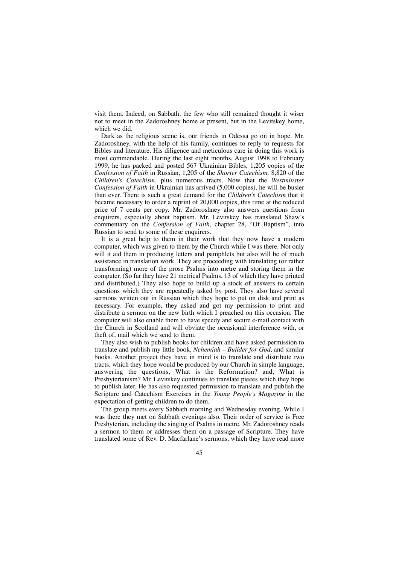visit them. Indeed, on Sabbath, the few who still remained thought it wiser not to meet in the Zadoroshney home at present, but in the Levitskey home, which we did.

Dark as the religious scene is, our friends in Odessa go on in hope. Mr. Zadoroshney, with the help of his family, continues to reply to requests for Bibles and literature. His diligence and meticulous care in doing this work is most commendable. During the last eight months, August 1998 to February 1999, he has packed and posted 567 Ukrainian Bibles, 1,205 copies of the *Confession of Faith* in Russian, 1,205 of the *Shorter Catechism,* 8,820 of the *Children's Catechism*, plus numerous tracts. Now that the *Westminster Confession of Faith* in Ukrainian has arrived (5,000 copies), he will be busier than ever. There is such a great demand for the *Children's Catechism* that it became necessary to order a reprint of 20,000 copies, this time at the reduced price of 7 cents per copy. Mr. Zadoroshney also answers questions from enquirers, especially about baptism. Mr. Levitskey has translated Shaw's commentary on the *Confession of Faith,* chapter 28, "Of Baptism", into Russian to send to some of these enquirers.

It is a great help to them in their work that they now have a modern computer, which was given to them by the Church while I was there. Not only will it aid them in producing letters and pamphlets but also will be of much assistance in translation work. They are proceeding with translating (or rather transforming) more of the prose Psalms into metre and storing them in the computer. (So far they have 21 metrical Psalms, 13 of which they have printed and distributed.) They also hope to build up a stock of answers to certain questions which they are repeatedly asked by post. They also have several sermons written out in Russian which they hope to put on disk and print as necessary. For example, they asked and got my permission to print and distribute a sermon on the new birth which I preached on this occasion. The computer will also enable them to have speedy and secure e-mail contact with the Church in Scotland and will obviate the occasional interference with, or theft of, mail which we send to them.

They also wish to publish books for children and have asked permission to translate and publish my little book, *Nehemiah – Builder for God*, and similar books. Another project they have in mind is to translate and distribute two tracts, which they hope would be produced by our Church in simple language, answering the questions, What is the Reformation? and, What is Presbyterianism? Mr. Levitskey continues to translate pieces which they hope to publish later. He has also requested permission to translate and publish the Scripture and Catechism Exercises in the *Young People's Magazine* in the expectation of getting children to do them.

The group meets every Sabbath morning and Wednesday evening. While I was there they met on Sabbath evenings also. Their order of service is Free Presbyterian, including the singing of Psalms in metre. Mr. Zadoroshney reads a sermon to them or addresses them on a passage of Scripture. They have translated some of Rev. D. Macfarlane's sermons, which they have read more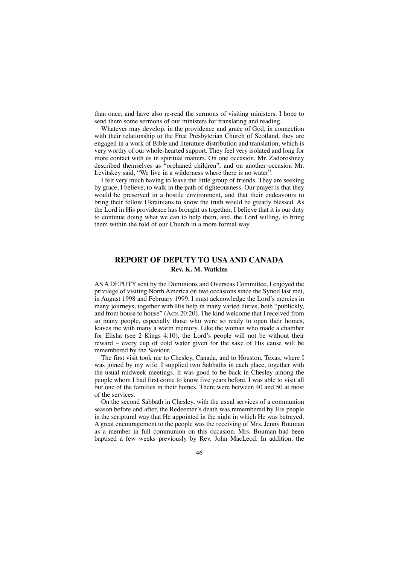than once, and have also re-read the sermons of visiting ministers. I hope to send them some sermons of our ministers for translating and reading.

Whatever may develop, in the providence and grace of God, in connection with their relationship to the Free Presbyterian Church of Scotland, they are engaged in a work of Bible and literature distribution and translation, which is very worthy of our whole-hearted support. They feel very isolated and long for more contact with us in spiritual matters. On one occasion, Mr. Zadoroshney described themselves as "orphaned children", and on another occasion Mr. Levitskey said, "We live in a wilderness where there is no water".

I felt very much having to leave the little group of friends. They are seeking by grace, I believe, to walk in the path of righteousness. Our prayer is that they would be preserved in a hostile environment, and that their endeavours to bring their fellow Ukrainians to know the truth would be greatly blessed. As the Lord in His providence has brought us together, I believe that it is our duty to continue doing what we can to help them, and, the Lord willing, to bring them within the fold of our Church in a more formal way.

## **REPORT OF DEPUTY TO USA AND CANADA Rev. K. M. Watkins**

AS A DEPUTY sent by the Dominions and Overseas Committee, I enjoyed the privilege of visiting North America on two occasions since the Synod last met, in August 1998 and February 1999. I must acknowledge the Lord's mercies in many journeys, together with His help in many varied duties, both "publickly, and from house to house" (Acts 20:20). The kind welcome that I received from so many people, especially those who were so ready to open their homes, leaves me with many a warm memory. Like the woman who made a chamber for Elisha (see 2 Kings 4:10), the Lord's people will not be without their reward – every cup of cold water given for the sake of His cause will be remembered by the Saviour.

The first visit took me to Chesley, Canada, and to Houston, Texas, where I was joined by my wife. I supplied two Sabbaths in each place, together with the usual midweek meetings. It was good to be back in Chesley among the people whom I had first come to know five years before. I was able to visit all but one of the families in their homes. There were between 40 and 50 at most of the services.

On the second Sabbath in Chesley, with the usual services of a communion season before and after, the Redeemer's death was remembered by His people in the scriptural way that He appointed in the night in which He was betrayed. A great encouragement to the people was the receiving of Mrs. Jenny Bouman as a member in full communion on this occasion. Mrs. Bouman had been baptised a few weeks previously by Rev. John MacLeod. In addition, the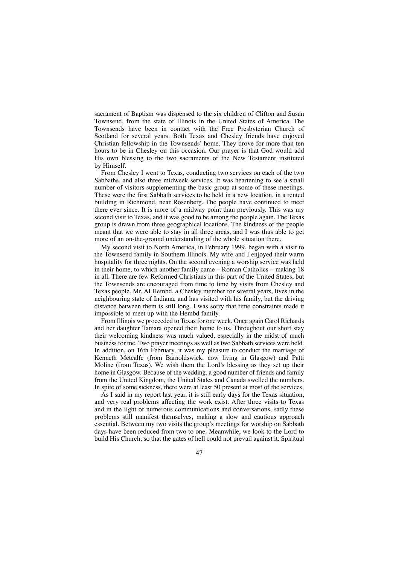sacrament of Baptism was dispensed to the six children of Clifton and Susan Townsend, from the state of Illinois in the United States of America. The Townsends have been in contact with the Free Presbyterian Church of Scotland for several years. Both Texas and Chesley friends have enjoyed Christian fellowship in the Townsends' home. They drove for more than ten hours to be in Chesley on this occasion. Our prayer is that God would add His own blessing to the two sacraments of the New Testament instituted by Himself.

From Chesley I went to Texas, conducting two services on each of the two Sabbaths, and also three midweek services. It was heartening to see a small number of visitors supplementing the basic group at some of these meetings. These were the first Sabbath services to be held in a new location, in a rented building in Richmond, near Rosenberg. The people have continued to meet there ever since. It is more of a midway point than previously. This was my second visit to Texas, and it was good to be among the people again. The Texas group is drawn from three geographical locations. The kindness of the people meant that we were able to stay in all three areas, and I was thus able to get more of an on-the-ground understanding of the whole situation there.

My second visit to North America, in February 1999, began with a visit to the Townsend family in Southern Illinois. My wife and I enjoyed their warm hospitality for three nights. On the second evening a worship service was held in their home, to which another family came – Roman Catholics – making 18 in all. There are few Reformed Christians in this part of the United States, but the Townsends are encouraged from time to time by visits from Chesley and Texas people. Mr. Al Hembd, a Chesley member for several years, lives in the neighbouring state of Indiana, and has visited with his family, but the driving distance between them is still long. I was sorry that time constraints made it impossible to meet up with the Hembd family.

From Illinois we proceeded to Texas for one week. Once again Carol Richards and her daughter Tamara opened their home to us. Throughout our short stay their welcoming kindness was much valued, especially in the midst of much business for me. Two prayer meetings as well as two Sabbath services were held. In addition, on 16th February, it was my pleasure to conduct the marriage of Kenneth Metcalfe (from Barnoldswick, now living in Glasgow) and Patti Moline (from Texas). We wish them the Lord's blessing as they set up their home in Glasgow. Because of the wedding, a good number of friends and family from the United Kingdom, the United States and Canada swelled the numbers. In spite of some sickness, there were at least 50 present at most of the services.

As I said in my report last year, it is still early days for the Texas situation, and very real problems affecting the work exist. After three visits to Texas and in the light of numerous communications and conversations, sadly these problems still manifest themselves, making a slow and cautious approach essential. Between my two visits the group's meetings for worship on Sabbath days have been reduced from two to one. Meanwhile, we look to the Lord to build His Church, so that the gates of hell could not prevail against it. Spiritual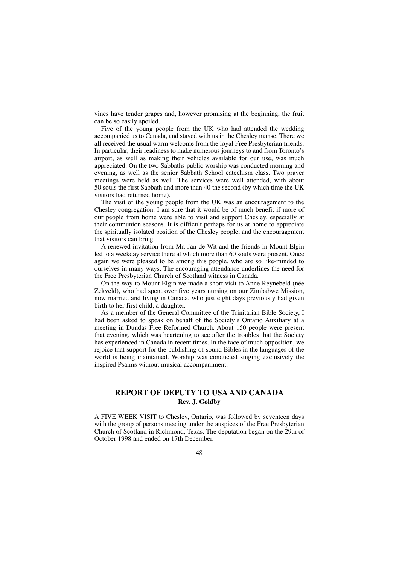vines have tender grapes and, however promising at the beginning, the fruit can be so easily spoiled.

Five of the young people from the UK who had attended the wedding accompanied us to Canada, and stayed with us in the Chesley manse. There we all received the usual warm welcome from the loyal Free Presbyterian friends. In particular, their readiness to make numerous journeys to and from Toronto's airport, as well as making their vehicles available for our use, was much appreciated. On the two Sabbaths public worship was conducted morning and evening, as well as the senior Sabbath School catechism class. Two prayer meetings were held as well. The services were well attended, with about 50 souls the first Sabbath and more than 40 the second (by which time the UK visitors had returned home).

The visit of the young people from the UK was an encouragement to the Chesley congregation. I am sure that it would be of much benefit if more of our people from home were able to visit and support Chesley, especially at their communion seasons. It is difficult perhaps for us at home to appreciate the spiritually isolated position of the Chesley people, and the encouragement that visitors can bring.

A renewed invitation from Mr. Jan de Wit and the friends in Mount Elgin led to a weekday service there at which more than 60 souls were present. Once again we were pleased to be among this people, who are so like-minded to ourselves in many ways. The encouraging attendance underlines the need for the Free Presbyterian Church of Scotland witness in Canada.

On the way to Mount Elgin we made a short visit to Anne Reynebeld (née Zekveld), who had spent over five years nursing on our Zimbabwe Mission, now married and living in Canada, who just eight days previously had given birth to her first child, a daughter.

As a member of the General Committee of the Trinitarian Bible Society, I had been asked to speak on behalf of the Society's Ontario Auxiliary at a meeting in Dundas Free Reformed Church. About 150 people were present that evening, which was heartening to see after the troubles that the Society has experienced in Canada in recent times. In the face of much opposition, we rejoice that support for the publishing of sound Bibles in the languages of the world is being maintained. Worship was conducted singing exclusively the inspired Psalms without musical accompaniment.

## **REPORT OF DEPUTY TO USA AND CANADA Rev. J. Goldby**

A FIVE WEEK VISIT to Chesley, Ontario, was followed by seventeen days with the group of persons meeting under the auspices of the Free Presbyterian Church of Scotland in Richmond, Texas. The deputation began on the 29th of October 1998 and ended on 17th December.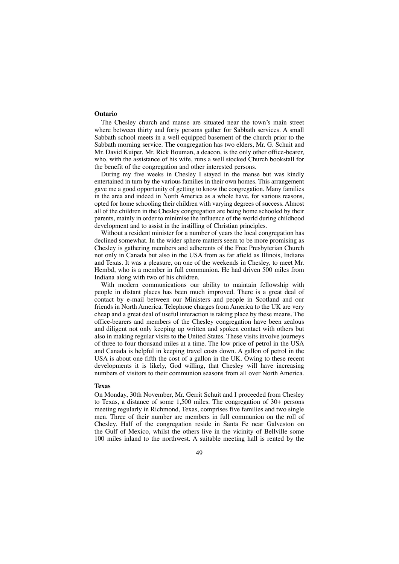#### **Ontario**

The Chesley church and manse are situated near the town's main street where between thirty and forty persons gather for Sabbath services. A small Sabbath school meets in a well equipped basement of the church prior to the Sabbath morning service. The congregation has two elders, Mr. G. Schuit and Mr. David Kuiper. Mr. Rick Bouman, a deacon, is the only other office-bearer, who, with the assistance of his wife, runs a well stocked Church bookstall for the benefit of the congregation and other interested persons.

During my five weeks in Chesley I stayed in the manse but was kindly entertained in turn by the various families in their own homes. This arrangement gave me a good opportunity of getting to know the congregation. Many families in the area and indeed in North America as a whole have, for various reasons, opted for home schooling their children with varying degrees of success. Almost all of the children in the Chesley congregation are being home schooled by their parents, mainly in order to minimise the influence of the world during childhood development and to assist in the instilling of Christian principles.

Without a resident minister for a number of years the local congregation has declined somewhat. In the wider sphere matters seem to be more promising as Chesley is gathering members and adherents of the Free Presbyterian Church not only in Canada but also in the USA from as far afield as Illinois, Indiana and Texas. It was a pleasure, on one of the weekends in Chesley, to meet Mr. Hembd, who is a member in full communion. He had driven 500 miles from Indiana along with two of his children.

With modern communications our ability to maintain fellowship with people in distant places has been much improved. There is a great deal of contact by e-mail between our Ministers and people in Scotland and our friends in North America. Telephone charges from America to the UK are very cheap and a great deal of useful interaction is taking place by these means. The office-bearers and members of the Chesley congregation have been zealous and diligent not only keeping up written and spoken contact with others but also in making regular visits to the United States. These visits involve journeys of three to four thousand miles at a time. The low price of petrol in the USA and Canada is helpful in keeping travel costs down. A gallon of petrol in the USA is about one fifth the cost of a gallon in the UK. Owing to these recent developments it is likely, God willing, that Chesley will have increasing numbers of visitors to their communion seasons from all over North America.

#### **Texas**

On Monday, 30th November, Mr. Gerrit Schuit and I proceeded from Chesley to Texas, a distance of some 1,500 miles. The congregation of 30+ persons meeting regularly in Richmond, Texas, comprises five families and two single men. Three of their number are members in full communion on the roll of Chesley. Half of the congregation reside in Santa Fe near Galveston on the Gulf of Mexico, whilst the others live in the vicinity of Bellville some 100 miles inland to the northwest. A suitable meeting hall is rented by the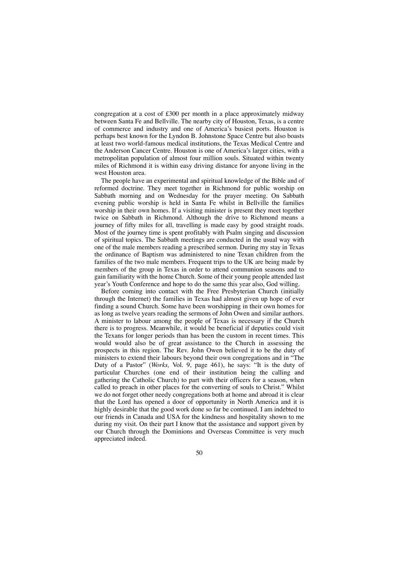congregation at a cost of £300 per month in a place approximately midway between Santa Fe and Bellville. The nearby city of Houston, Texas, is a centre of commerce and industry and one of America's busiest ports. Houston is perhaps best known for the Lyndon B. Johnstone Space Centre but also boasts at least two world-famous medical institutions, the Texas Medical Centre and the Anderson Cancer Centre. Houston is one of America's larger cities, with a metropolitan population of almost four million souls. Situated within twenty miles of Richmond it is within easy driving distance for anyone living in the west Houston area.

The people have an experimental and spiritual knowledge of the Bible and of reformed doctrine. They meet together in Richmond for public worship on Sabbath morning and on Wednesday for the prayer meeting. On Sabbath evening public worship is held in Santa Fe whilst in Bellville the families worship in their own homes. If a visiting minister is present they meet together twice on Sabbath in Richmond. Although the drive to Richmond means a journey of fifty miles for all, travelling is made easy by good straight roads. Most of the journey time is spent profitably with Psalm singing and discussion of spiritual topics. The Sabbath meetings are conducted in the usual way with one of the male members reading a prescribed sermon. During my stay in Texas the ordinance of Baptism was administered to nine Texan children from the families of the two male members. Frequent trips to the UK are being made by members of the group in Texas in order to attend communion seasons and to gain familiarity with the home Church. Some of their young people attended last year's Youth Conference and hope to do the same this year also, God willing.

Before coming into contact with the Free Presbyterian Church (initially through the Internet) the families in Texas had almost given up hope of ever finding a sound Church. Some have been worshipping in their own homes for as long as twelve years reading the sermons of John Owen and similar authors. A minister to labour among the people of Texas is necessary if the Church there is to progress. Meanwhile, it would be beneficial if deputies could visit the Texans for longer periods than has been the custom in recent times. This would would also be of great assistance to the Church in assessing the prospects in this region. The Rev. John Owen believed it to be the duty of ministers to extend their labours beyond their own congregations and in "The Duty of a Pastor" (*Works,* Vol. 9, page 461), he says: "It is the duty of particular Churches (one end of their institution being the calling and gathering the Catholic Church) to part with their officers for a season, when called to preach in other places for the converting of souls to Christ." Whilst we do not forget other needy congregations both at home and abroad it is clear that the Lord has opened a door of opportunity in North America and it is highly desirable that the good work done so far be continued. I am indebted to our friends in Canada and USA for the kindness and hospitality shown to me during my visit. On their part I know that the assistance and support given by our Church through the Dominions and Overseas Committee is very much appreciated indeed.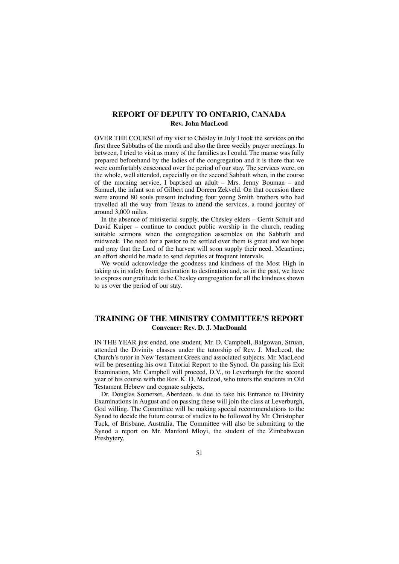## **REPORT OF DEPUTY TO ONTARIO, CANADA Rev. John MacLeod**

OVER THE COURSE of my visit to Chesley in July I took the services on the first three Sabbaths of the month and also the three weekly prayer meetings. In between, I tried to visit as many of the families as I could. The manse was fully prepared beforehand by the ladies of the congregation and it is there that we were comfortably ensconced over the period of our stay. The services were, on the whole, well attended, especially on the second Sabbath when, in the course of the morning service, I baptised an adult – Mrs. Jenny Bouman – and Samuel, the infant son of Gilbert and Doreen Zekveld. On that occasion there were around 80 souls present including four young Smith brothers who had travelled all the way from Texas to attend the services, a round journey of around 3,000 miles.

In the absence of ministerial supply, the Chesley elders – Gerrit Schuit and David Kuiper – continue to conduct public worship in the church, reading suitable sermons when the congregation assembles on the Sabbath and midweek. The need for a pastor to be settled over them is great and we hope and pray that the Lord of the harvest will soon supply their need. Meantime, an effort should be made to send deputies at frequent intervals.

We would acknowledge the goodness and kindness of the Most High in taking us in safety from destination to destination and, as in the past, we have to express our gratitude to the Chesley congregation for all the kindness shown to us over the period of our stay.

## **TRAINING OF THE MINISTRY COMMITTEE'S REPORT Convener: Rev. D. J. MacDonald**

IN THE YEAR just ended, one student, Mr. D. Campbell, Balgowan, Struan, attended the Divinity classes under the tutorship of Rev. J. MacLeod, the Church's tutor in New Testament Greek and associated subjects. Mr. MacLeod will be presenting his own Tutorial Report to the Synod. On passing his Exit Examination, Mr. Campbell will proceed, D.V., to Leverburgh for the second year of his course with the Rev. K. D. Macleod, who tutors the students in Old Testament Hebrew and cognate subjects.

Dr. Douglas Somerset, Aberdeen, is due to take his Entrance to Divinity Examinations in August and on passing these will join the class at Leverburgh, God willing. The Committee will be making special recommendations to the Synod to decide the future course of studies to be followed by Mr. Christopher Tuck, of Brisbane, Australia. The Committee will also be submitting to the Synod a report on Mr. Manford Mloyi, the student of the Zimbabwean Presbytery.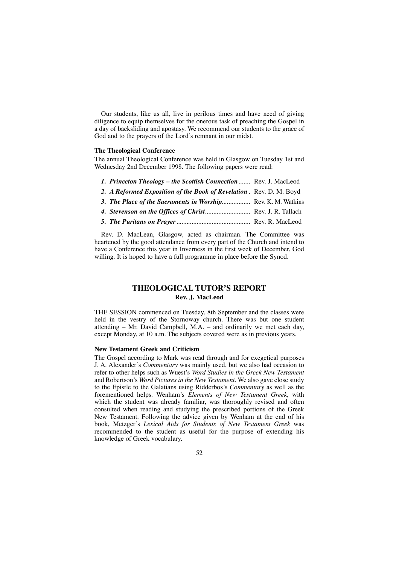Our students, like us all, live in perilous times and have need of giving diligence to equip themselves for the onerous task of preaching the Gospel in a day of backsliding and apostasy. We recommend our students to the grace of God and to the prayers of the Lord's remnant in our midst.

#### **The Theological Conference**

The annual Theological Conference was held in Glasgow on Tuesday 1st and Wednesday 2nd December 1998. The following papers were read:

- *1. Princeton Theology the Scottish Connection*....... Rev. J. MacLeod
- *2. A Reformed Exposition of the Book of Revelation* . Rev. D. M. Boyd
- *3. The Place of the Sacraments in Worship*................. Rev. K. M. Watkins
- *4. Stevenson on the Offices of Christ*........................... Rev. J. R. Tallach
- *5. The Puritans on Prayer*............................................ Rev. R. MacLeod

Rev. D. MacLean, Glasgow, acted as chairman. The Committee was heartened by the good attendance from every part of the Church and intend to have a Conference this year in Inverness in the first week of December, God willing. It is hoped to have a full programme in place before the Synod.

## **THEOLOGICAL TUTOR'S REPORT Rev. J. MacLeod**

THE SESSION commenced on Tuesday, 8th September and the classes were held in the vestry of the Stornoway church. There was but one student attending – Mr. David Campbell, M.A. – and ordinarily we met each day, except Monday, at 10 a.m. The subjects covered were as in previous years.

#### **New Testament Greek and Criticism**

The Gospel according to Mark was read through and for exegetical purposes J. A. Alexander's *Commentary* was mainly used, but we also had occasion to refer to other helps such as Wuest's *Word Studies in the Greek New Testament* and Robertson's *Word Pictures in the New Testament.* We also gave close study to the Epistle to the Galatians using Ridderbos's *Commentary* as well as the forementioned helps. Wenham's *Elements of New Testament Greek,* with which the student was already familiar, was thoroughly revised and often consulted when reading and studying the prescribed portions of the Greek New Testament. Following the advice given by Wenham at the end of his book, Metzger's *Lexical Aids for Students of New Testament Greek* was recommended to the student as useful for the purpose of extending his knowledge of Greek vocabulary.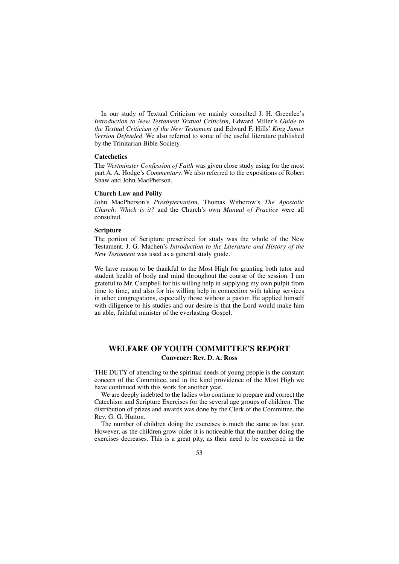In our study of Textual Criticism we mainly consulted J. H. Greenlee's *Introduction to New Testament Textual Criticism,* Edward Miller's *Guide to the Textual Criticism of the New Testament* and Edward F. Hills' *King James Version Defended.* We also referred to some of the useful literature published by the Trinitarian Bible Society.

#### **Catechetics**

The *Westminster Confession of Faith* was given close study using for the most part A. A. Hodge's *Commentary.* We also referred to the expositions of Robert Shaw and John MacPherson.

#### **Church Law and Polity**

John MacPherson's *Presbyterianism,* Thomas Witherow's *The Apostolic Church: Which is it?* and the Church's own *Manual of Practice* were all consulted.

#### **Scripture**

The portion of Scripture prescribed for study was the whole of the New Testament. J. G. Machen's *Introduction to the Literature and History of the New Testament* was used as a general study guide.

We have reason to be thankful to the Most High for granting both tutor and student health of body and mind throughout the course of the session. I am grateful to Mr. Campbell for his willing help in supplying my own pulpit from time to time, and also for his willing help in connection with taking services in other congregations, especially those without a pastor. He applied himself with diligence to his studies and our desire is that the Lord would make him an able, faithful minister of the everlasting Gospel.

## **WELFARE OF YOUTH COMMITTEE'S REPORT Convener: Rev. D. A. Ross**

THE DUTY of attending to the spiritual needs of young people is the constant concern of the Committee, and in the kind providence of the Most High we have continued with this work for another year.

We are deeply indebted to the ladies who continue to prepare and correct the Catechism and Scripture Exercises for the several age groups of children. The distribution of prizes and awards was done by the Clerk of the Committee, the Rev. G. G. Hutton.

The number of children doing the exercises is much the same as last year. However, as the children grow older it is noticeable that the number doing the exercises decreases. This is a great pity, as their need to be exercised in the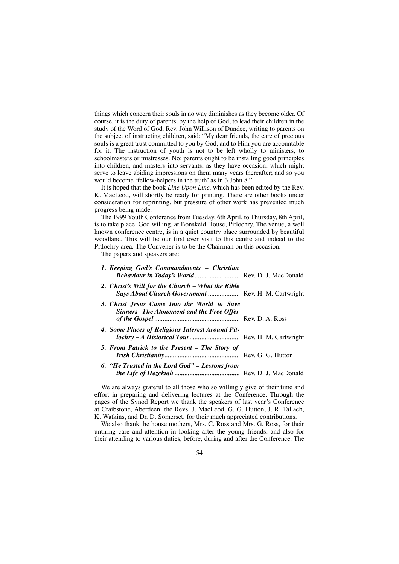things which concern their souls in no way diminishes as they become older. Of course, it is the duty of parents, by the help of God, to lead their children in the study of the Word of God. Rev. John Willison of Dundee, writing to parents on the subject of instructing children, said: "My dear friends, the care of precious souls is a great trust committed to you by God, and to Him you are accountable for it. The instruction of youth is not to be left wholly to ministers, to schoolmasters or mistresses. No; parents ought to be installing good principles into children, and masters into servants, as they have occasion, which might serve to leave abiding impressions on them many years thereafter; and so you would become 'fellow-helpers in the truth' as in 3 John 8."

It is hoped that the book *Line Upon Line,* which has been edited by the Rev. K. MacLeod, will shortly be ready for printing. There are other books under consideration for reprinting, but pressure of other work has prevented much progress being made.

The 1999 Youth Conference from Tuesday, 6th April, to Thursday, 8th April, is to take place, God willing, at Bonskeid House, Pitlochry. The venue, a well known conference centre, is in a quiet country place surrounded by beautiful woodland. This will be our first ever visit to this centre and indeed to the Pitlochry area. The Convener is to be the Chairman on this occasion.

The papers and speakers are:

| 1. Keeping God's Commandments - Christian<br>Behaviour in Today's World Rev. D. J. MacDonald            |  |
|---------------------------------------------------------------------------------------------------------|--|
| 2. Christ's Will for the Church – What the Bible<br>Says About Church Government  Rev. H. M. Cartwright |  |
| 3. Christ Jesus Came Into the World to Save<br>Sinners-The Atonement and the Free Offer                 |  |
| 4. Some Places of Religious Interest Around Pit-<br>lochry - A Historical Tour Rev. H. M. Cartwright    |  |
| 5. From Patrick to the Present – The Story of                                                           |  |
| 6. "He Trusted in the Lord God" - Lessons from                                                          |  |

We are always grateful to all those who so willingly give of their time and effort in preparing and delivering lectures at the Conference. Through the pages of the Synod Report we thank the speakers of last year's Conference at Craibstone, Aberdeen: the Revs. J. MacLeod, G. G. Hutton, J. R. Tallach, K. Watkins, and Dr. D. Somerset, for their much appreciated contributions.

We also thank the house mothers, Mrs. C. Ross and Mrs. G. Ross, for their untiring care and attention in looking after the young friends, and also for their attending to various duties, before, during and after the Conference. The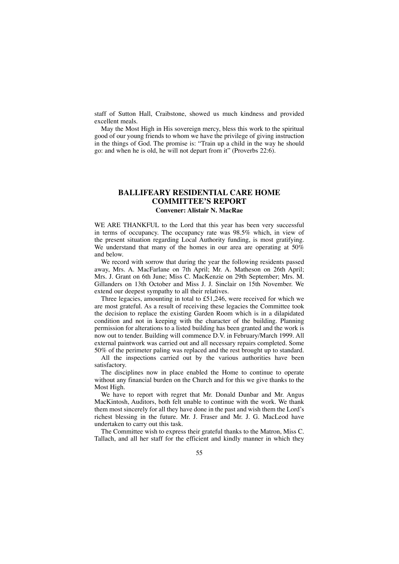staff of Sutton Hall, Craibstone, showed us much kindness and provided excellent meals.

May the Most High in His sovereign mercy, bless this work to the spiritual good of our young friends to whom we have the privilege of giving instruction in the things of God. The promise is: "Train up a child in the way he should go: and when he is old, he will not depart from it" (Proverbs 22:6).

### **BALLIFEARY RESIDENTIAL CARE HOME COMMITTEE'S REPORT Convener: Alistair N. MacRae**

WE ARE THANKFUL to the Lord that this year has been very successful in terms of occupancy. The occupancy rate was 98.5% which, in view of the present situation regarding Local Authority funding, is most gratifying. We understand that many of the homes in our area are operating at 50% and below.

We record with sorrow that during the year the following residents passed away, Mrs. A. MacFarlane on 7th April; Mr. A. Matheson on 26th April; Mrs. J. Grant on 6th June; Miss C. MacKenzie on 29th September; Mrs. M. Gillanders on 13th October and Miss J. J. Sinclair on 15th November. We extend our deepest sympathy to all their relatives.

Three legacies, amounting in total to £51,246, were received for which we are most grateful. As a result of receiving these legacies the Committee took the decision to replace the existing Garden Room which is in a dilapidated condition and not in keeping with the character of the building. Planning permission for alterations to a listed building has been granted and the work is now out to tender. Building will commence D.V. in February/March 1999. All external paintwork was carried out and all necessary repairs completed. Some 50% of the perimeter paling was replaced and the rest brought up to standard.

All the inspections carried out by the various authorities have been satisfactory.

The disciplines now in place enabled the Home to continue to operate without any financial burden on the Church and for this we give thanks to the Most High.

We have to report with regret that Mr. Donald Dunbar and Mr. Angus MacKintosh, Auditors, both felt unable to continue with the work. We thank them most sincerely for all they have done in the past and wish them the Lord's richest blessing in the future. Mr. J. Fraser and Mr. J. G. MacLeod have undertaken to carry out this task.

The Committee wish to express their grateful thanks to the Matron, Miss C. Tallach, and all her staff for the efficient and kindly manner in which they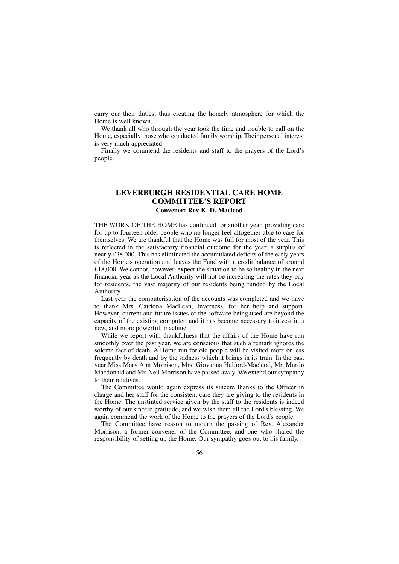carry our their duties, thus creating the homely atmosphere for which the Home is well known.

We thank all who through the year took the time and trouble to call on the Home, especially those who conducted family worship. Their personal interest is very much appreciated.

Finally we commend the residents and staff to the prayers of the Lord's people.

### **LEVERBURGH RESIDENTIAL CARE HOME COMMITTEE'S REPORT Convener: Rev K. D. Macleod**

THE WORK OF THE HOME has continued for another year, providing care for up to fourteen older people who no longer feel altogether able to care for themselves. We are thankful that the Home was full for most of the year. This is reflected in the satisfactory financial outcome for the year, a surplus of nearly £38,000. This has eliminated the accumulated deficits of the early years of the Home's operation and leaves the Fund with a credit balance of around £18,000. We cannot, however, expect the situation to be so healthy in the next financial year as the Local Authority will not be increasing the rates they pay for residents, the vast majority of our residents being funded by the Local Authority.

Last year the computerisation of the accounts was completed and we have to thank Mrs. Catriona MacLean, Inverness, for her help and support. However, current and future issues of the software being used are beyond the capacity of the existing computer, and it has become necessary to invest in a new, and more powerful, machine.

While we report with thankfulness that the affairs of the Home have run smoothly over the past year, we are conscious that such a remark ignores the solemn fact of death. A Home run for old people will be visited more or less frequently by death and by the sadness which it brings in its train. In the past year Miss Mary Ann Morrison, Mrs. Giovanna Halford-Macleod, Mr. Murdo Macdonald and Mr. Neil Morrison have passed away. We extend our sympathy to their relatives.

The Committee would again express its sincere thanks to the Officer in charge and her staff for the consistent care they are giving to the residents in the Home. The unstinted service given by the staff to the residents is indeed worthy of our sincere gratitude, and we wish them all the Lord's blessing. We again commend the work of the Home to the prayers of the Lord's people.

The Committee have reason to mourn the passing of Rev. Alexander Morrison, a former convener of the Committee, and one who shared the responsibility of setting up the Home. Our sympathy goes out to his family.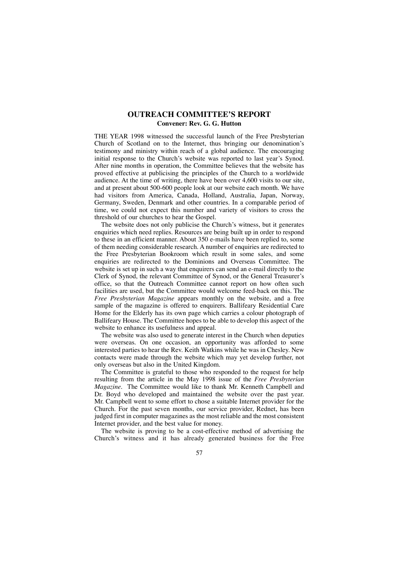## **OUTREACH COMMITTEE'S REPORT Convener: Rev. G. G. Hutton**

THE YEAR 1998 witnessed the successful launch of the Free Presbyterian Church of Scotland on to the Internet, thus bringing our denomination's testimony and ministry within reach of a global audience. The encouraging initial response to the Church's website was reported to last year's Synod. After nine months in operation, the Committee believes that the website has proved effective at publicising the principles of the Church to a worldwide audience. At the time of writing, there have been over 4,600 visits to our site, and at present about 500-600 people look at our website each month. We have had visitors from America, Canada, Holland, Australia, Japan, Norway, Germany, Sweden, Denmark and other countries. In a comparable period of time, we could not expect this number and variety of visitors to cross the threshold of our churches to hear the Gospel.

The website does not only publicise the Church's witness, but it generates enquiries which need replies. Resources are being built up in order to respond to these in an efficient manner. About 350 e-mails have been replied to, some of them needing considerable research. A number of enquiries are redirected to the Free Presbyterian Bookroom which result in some sales, and some enquiries are redirected to the Dominions and Overseas Committee. The website is set up in such a way that enquirers can send an e-mail directly to the Clerk of Synod, the relevant Committee of Synod, or the General Treasurer's office, so that the Outreach Committee cannot report on how often such facilities are used, but the Committee would welcome feed-back on this. The *Free Presbyterian Magazine* appears monthly on the website, and a free sample of the magazine is offered to enquirers. Ballifeary Residential Care Home for the Elderly has its own page which carries a colour photograph of Ballifeary House. The Committee hopes to be able to develop this aspect of the website to enhance its usefulness and appeal.

The website was also used to generate interest in the Church when deputies were overseas. On one occasion, an opportunity was afforded to some interested parties to hear the Rev. Keith Watkins while he was in Chesley. New contacts were made through the website which may yet develop further, not only overseas but also in the United Kingdom.

The Committee is grateful to those who responded to the request for help resulting from the article in the May 1998 issue of the *Free Presbyterian Magazine.* The Committee would like to thank Mr. Kenneth Campbell and Dr. Boyd who developed and maintained the website over the past year. Mr. Campbell went to some effort to chose a suitable Internet provider for the Church. For the past seven months, our service provider, Rednet, has been judged first in computer magazines as the most reliable and the most consistent Internet provider, and the best value for money.

The website is proving to be a cost-effective method of advertising the Church's witness and it has already generated business for the Free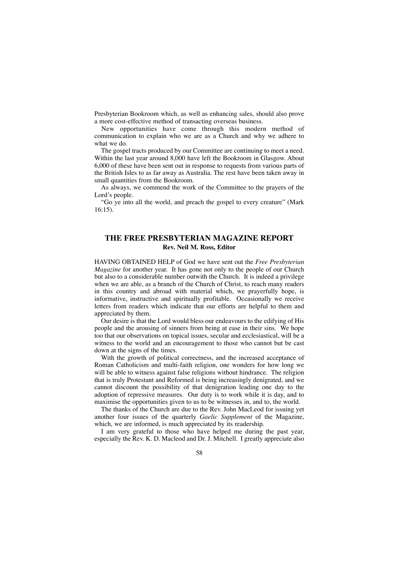Presbyterian Bookroom which, as well as enhancing sales, should also prove a more cost-effective method of transacting overseas business.

New opportunities have come through this modern method of communication to explain who we are as a Church and why we adhere to what we do.

The gospel tracts produced by our Committee are continuing to meet a need. Within the last year around 8,000 have left the Bookroom in Glasgow. About 6,000 of these have been sent out in response to requests from various parts of the British Isles to as far away as Australia. The rest have been taken away in small quantities from the Bookroom.

As always, we commend the work of the Committee to the prayers of the Lord's people.

"Go ye into all the world, and preach the gospel to every creature" (Mark 16:15).

## **THE FREE PRESBYTERIAN MAGAZINE REPORT Rev. Neil M. Ross, Editor**

HAVING OBTAINED HELP of God we have sent out the *Free Presbyterian Magazine* for another year. It has gone not only to the people of our Church but also to a considerable number outwith the Church. It is indeed a privilege when we are able, as a branch of the Church of Christ, to reach many readers in this country and abroad with material which, we prayerfully hope, is informative, instructive and spiritually profitable. Occasionally we receive letters from readers which indicate that our efforts are helpful to them and appreciated by them.

Our desire is that the Lord would bless our endeavours to the edifying of His people and the arousing of sinners from being at ease in their sins. We hope too that our observations on topical issues, secular and ecclesiastical, will be a witness to the world and an encouragement to those who cannot but be cast down at the signs of the times.

With the growth of political correctness, and the increased acceptance of Roman Catholicism and multi-faith religion, one wonders for how long we will be able to witness against false religions without hindrance. The religion that is truly Protestant and Reformed is being increasingly denigrated, and we cannot discount the possibility of that denigration leading one day to the adoption of repressive measures. Our duty is to work while it is day, and to maximise the opportunities given to us to be witnesses in, and to, the world.

The thanks of the Church are due to the Rev. John MacLeod for issuing yet another four issues of the quarterly *Gaelic Supplement* of the Magazine, which, we are informed, is much appreciated by its readership.

I am very grateful to those who have helped me during the past year, especially the Rev. K. D. Macleod and Dr. J. Mitchell. I greatly appreciate also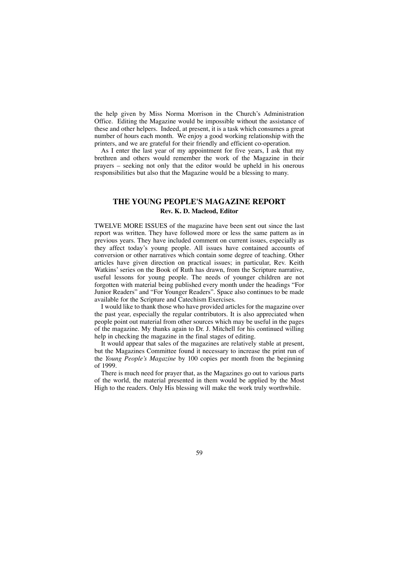the help given by Miss Norma Morrison in the Church's Administration Office. Editing the Magazine would be impossible without the assistance of these and other helpers. Indeed, at present, it is a task which consumes a great number of hours each month. We enjoy a good working relationship with the printers, and we are grateful for their friendly and efficient co-operation.

As I enter the last year of my appointment for five years, I ask that my brethren and others would remember the work of the Magazine in their prayers – seeking not only that the editor would be upheld in his onerous responsibilities but also that the Magazine would be a blessing to many.

## **THE YOUNG PEOPLE'S MAGAZINE REPORT Rev. K. D. Macleod, Editor**

TWELVE MORE ISSUES of the magazine have been sent out since the last report was written. They have followed more or less the same pattern as in previous years. They have included comment on current issues, especially as they affect today's young people. All issues have contained accounts of conversion or other narratives which contain some degree of teaching. Other articles have given direction on practical issues; in particular, Rev. Keith Watkins' series on the Book of Ruth has drawn, from the Scripture narrative, useful lessons for young people. The needs of younger children are not forgotten with material being published every month under the headings "For Junior Readers" and "For Younger Readers". Space also continues to be made available for the Scripture and Catechism Exercises.

I would like to thank those who have provided articles for the magazine over the past year, especially the regular contributors. It is also appreciated when people point out material from other sources which may be useful in the pages of the magazine. My thanks again to Dr. J. Mitchell for his continued willing help in checking the magazine in the final stages of editing.

It would appear that sales of the magazines are relatively stable at present, but the Magazines Committee found it necessary to increase the print run of the *Young People's Magazine* by 100 copies per month from the beginning of 1999.

There is much need for prayer that, as the Magazines go out to various parts of the world, the material presented in them would be applied by the Most High to the readers. Only His blessing will make the work truly worthwhile.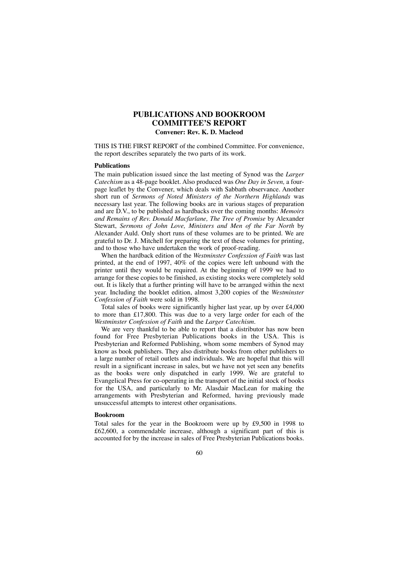## **PUBLICATIONS AND BOOKROOM COMMITTEE'S REPORT Convener: Rev. K. D. Macleod**

THIS IS THE FIRST REPORT of the combined Committee. For convenience, the report describes separately the two parts of its work.

#### **Publications**

The main publication issued since the last meeting of Synod was the *Larger Catechism* as a 48-page booklet. Also produced was *One Day in Seven,* a fourpage leaflet by the Convener, which deals with Sabbath observance. Another short run of *Sermons of Noted Ministers of the Northern Highlands* was necessary last year. The following books are in various stages of preparation and are D.V., to be published as hardbacks over the coming months: *Memoirs and Remains of Rev. Donald Macfarlane, The Tree of Promise* by Alexander Stewart, *Sermons of John Love, Ministers and Men of the Far North* by Alexander Auld. Only short runs of these volumes are to be printed. We are grateful to Dr. J. Mitchell for preparing the text of these volumes for printing, and to those who have undertaken the work of proof-reading.

When the hardback edition of the *Westminster Confession of Faith* was last printed, at the end of 1997, 40% of the copies were left unbound with the printer until they would be required. At the beginning of 1999 we had to arrange for these copies to be finished, as existing stocks were completely sold out. It is likely that a further printing will have to be arranged within the next year. Including the booklet edition, almost 3,200 copies of the *Westminster Confession of Faith* were sold in 1998.

Total sales of books were significantly higher last year, up by over £4,000 to more than £17,800. This was due to a very large order for each of the *Westminster Confession of Faith* and the *Larger Catechism.* 

We are very thankful to be able to report that a distributor has now been found for Free Presbyterian Publications books in the USA. This is Presbyterian and Reformed Publishing, whom some members of Synod may know as book publishers. They also distribute books from other publishers to a large number of retail outlets and individuals. We are hopeful that this will result in a significant increase in sales, but we have not yet seen any benefits as the books were only dispatched in early 1999. We are grateful to Evangelical Press for co-operating in the transport of the initial stock of books for the USA, and particularly to Mr. Alasdair MacLean for making the arrangements with Presbyterian and Reformed, having previously made unsuccessful attempts to interest other organisations.

#### **Bookroom**

Total sales for the year in the Bookroom were up by £9,500 in 1998 to £62,600, a commendable increase, although a significant part of this is accounted for by the increase in sales of Free Presbyterian Publications books.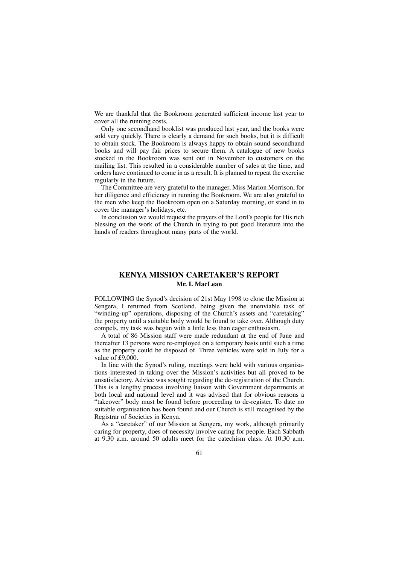We are thankful that the Bookroom generated sufficient income last year to cover all the running costs.

Only one secondhand booklist was produced last year, and the books were sold very quickly. There is clearly a demand for such books, but it is difficult to obtain stock. The Bookroom is always happy to obtain sound secondhand books and will pay fair prices to secure them. A catalogue of new books stocked in the Bookroom was sent out in November to customers on the mailing list. This resulted in a considerable number of sales at the time, and orders have continued to come in as a result. It is planned to repeat the exercise regularly in the future.

The Committee are very grateful to the manager, Miss Marion Morrison, for her diligence and efficiency in running the Bookroom. We are also grateful to the men who keep the Bookroom open on a Saturday morning, or stand in to cover the manager's holidays, etc.

In conclusion we would request the prayers of the Lord's people for His rich blessing on the work of the Church in trying to put good literature into the hands of readers throughout many parts of the world.

## **KENYA MISSION CARETAKER'S REPORT Mr. I. MacLean**

FOLLOWING the Synod's decision of 21st May 1998 to close the Mission at Sengera, I returned from Scotland, being given the unenviable task of "winding-up" operations, disposing of the Church's assets and "caretaking" the property until a suitable body would be found to take over. Although duty compels, my task was begun with a little less than eager enthusiasm.

A total of 86 Mission staff were made redundant at the end of June and thereafter 13 persons were re-employed on a temporary basis until such a time as the property could be disposed of. Three vehicles were sold in July for a value of £9,000.

In line with the Synod's ruling, meetings were held with various organisations interested in taking over the Mission's activities but all proved to be unsatisfactory. Advice was sought regarding the de-registration of the Church. This is a lengthy process involving liaison with Government departments at both local and national level and it was advised that for obvious reasons a "takeover" body must be found before proceeding to de-register. To date no suitable organisation has been found and our Church is still recognised by the Registrar of Societies in Kenya.

As a "caretaker" of our Mission at Sengera, my work, although primarily caring for property, does of necessity involve caring for people. Each Sabbath at 9.30 a.m. around 50 adults meet for the catechism class. At 10.30 a.m.